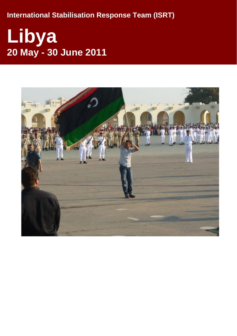**International Stabilisation Response Tea m (ISRT)** 

# **Libya 20 May - 30 June 2011**

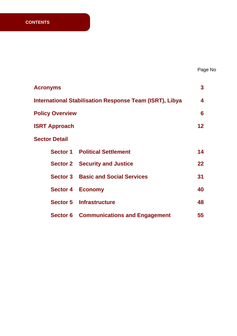| <b>Acronyms</b>         |                                                         | 3       |
|-------------------------|---------------------------------------------------------|---------|
|                         | International Stabilisation Response Team (ISRT), Libya | 4       |
| <b>Policy Overview</b>  |                                                         | 6       |
| <b>ISRT Approach</b>    |                                                         | 12      |
| <b>Sector Detail</b>    |                                                         |         |
|                         | <b>Sector 1 Political Settlement</b>                    | 14      |
|                         | <b>Sector 2 Security and Justice</b>                    | $22 \,$ |
|                         | <b>Sector 3 Basic and Social Services</b>               | 31      |
| <b>Sector 4 Economy</b> |                                                         | 40      |
|                         | <b>Sector 5 Infrastructure</b>                          | 48      |
|                         | <b>Sector 6 Communications and Engagement</b>           | 55      |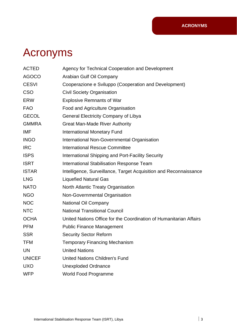## Acronyms

| <b>ACTED</b>  | Agency for Technical Cooperation and Development                   |
|---------------|--------------------------------------------------------------------|
| <b>AGOCO</b>  | Arabian Gulf Oil Company                                           |
| <b>CESVI</b>  | Cooperazione e Sviluppo (Cooperation and Development)              |
| <b>CSO</b>    | <b>Civil Society Organisation</b>                                  |
| <b>ERW</b>    | <b>Explosive Remnants of War</b>                                   |
| <b>FAO</b>    | Food and Agriculture Organisation                                  |
| <b>GECOL</b>  | <b>General Electricity Company of Libya</b>                        |
| <b>GMMRA</b>  | <b>Great Man-Made River Authority</b>                              |
| <b>IMF</b>    | <b>International Monetary Fund</b>                                 |
| <b>INGO</b>   | International Non-Governmental Organisation                        |
| <b>IRC</b>    | <b>International Rescue Committee</b>                              |
| <b>ISPS</b>   | <b>International Shipping and Port-Facility Security</b>           |
| <b>ISRT</b>   | <b>International Stabilisation Response Team</b>                   |
| <b>ISTAR</b>  | Intelligence, Surveillance, Target Acquisition and Reconnaissance  |
| <b>LNG</b>    | <b>Liquefied Natural Gas</b>                                       |
| <b>NATO</b>   | North Atlantic Treaty Organisation                                 |
| <b>NGO</b>    | Non-Governmental Organisation                                      |
| <b>NOC</b>    | National Oil Company                                               |
| <b>NTC</b>    | <b>National Transitional Council</b>                               |
| <b>OCHA</b>   | United Nations Office for the Coordination of Humanitarian Affairs |
| <b>PFM</b>    | <b>Public Finance Management</b>                                   |
| <b>SSR</b>    | <b>Security Sector Reform</b>                                      |
| <b>TFM</b>    | <b>Temporary Financing Mechanism</b>                               |
| UN            | <b>United Nations</b>                                              |
| <b>UNICEF</b> | <b>United Nations Children's Fund</b>                              |
| <b>UXO</b>    | <b>Unexploded Ordnance</b>                                         |
| <b>WFP</b>    | <b>World Food Programme</b>                                        |
|               |                                                                    |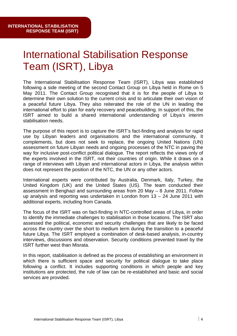## **International Stabilisation Response** Team (ISRT), Libya

The International Stabilisation Response Team (ISRT), Libya was established following a side meeting of the second Contact Group on Libya held in Rome on 5 May 2011. The Contact Group recognised that it is for the people of Libya to determine their own solution to the current crisis and to articulate their own vision of a peaceful future Libya. They also reiterated the role of the UN in leading the international effort to plan for early recovery and peacebuilding. In support of this, the ISRT aimed to build a shared international understanding of Libya's interim stabilisation needs.

The purpose of this report is to capture the ISRT's fact-finding and analysis for rapid use by Libyan leaders and organisations and the international community. It complements, but does not seek to replace, the ongoing United Nations (UN) way for inclusive post-conflict political dialogue. The report reflects the views only of the experts involved in the ISRT, not their countries of origin. While it draws on a range of interviews with Libyan and international actors in Libya, the analysis within assessment on future Libyan needs and ongoing processes of the NTC in paving the does not represent the position of the NTC, the UN or any other actors.

International experts were contributed by Australia, Denmark, Italy, Turkey, the United Kingdom (UK) and the United States (US). The team conducted their assessment in Benghazi and surrounding areas from 20 May - 8 June 2011. Follow up analysis and reporting was undertaken in London from  $13 - 24$  June 2011 with additional experts, including from Canada.

The focus of the ISRT was on fact-finding in NTC-controlled areas of Libya, in order to identify the immediate challenges to stabilisation in those locations. The ISRT also assessed the political, economic and security challenges that are likely to be faced across the country over the short to medium term during the transition to a peaceful future Libya. The ISRT employed a combination of desk-based analysis, in-country interviews, discussions and observation. Security conditions prevented travel by the ISRT further west than Misrata.

In this report, stabilisation is defined as the process of establishing an environment in which there is sufficient space and security for political dialogue to take place following a conflict. It includes supporting conditions in which people and key institutions are protected, the rule of law can be re-established and basic and social services are provided.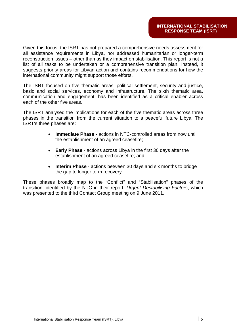Given this focus, the ISRT has not prepared a comprehensive needs assessment for all assistance requirements in Libya, nor addressed humanitarian or longer-term reconstruction issues – other than as they impact on stabilisation. This report is not a list of all tasks to be undertaken or a comprehensive transition plan. Instead, it suggests priority areas for Libyan action and contains recommendations for how the international community might support those efforts.

The ISRT focused on five thematic areas: political settlement, security and justice, basic and social services, economy and infrastructure. The sixth thematic area, communication and engagement, has been identified as a critical enabler across each of the other five areas.

The ISRT analysed the implications for each of the five thematic areas across three phases in the transition from the current situation to a peaceful future Libya. The ISRT 's three phases are:

- **Immediate Phase** actions in NTC-controlled areas from now until the establishment of an agreed ceasefire;
- **Early Phase** actions across Libya in the first 30 days after the establishment of an agreed ceasefire; and
- Interim Phase actions between 30 days and six months to bridge the gap to longer term recovery.

These phases broadly map to the "Conflict" and "Stabilisation" phases of the transition, identified by the NTC in their report, *Urgent Destabilising Factors*, which was presented to the third Contact Group meeting on 9 June 2011.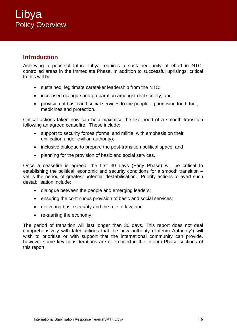### **Introduction**

Achieving a peaceful future Libya requires a sustained unity of effort in NTCcontrolled areas in the Immediate Phase. In addition to successful uprisings, critical to this will be:

- sustained, legitimate caretaker leadership from the NTC;
- increased dialogue and preparation amongst civil society; and
- $\bullet$  provision of basic and social services to the people  $-$  prioritising food, fuel, medicines and protection.

Critical actions taken now can help maximise the likelihood of a smooth transition following an agreed ceasefire. These include:

- support to security forces (formal and militia, with emphasis on their unification under civilian authority);
- inclusive dialogue to prepare the post-transition political space; and
- planning for the provision of basic and social services.

Once a ceasefire is agreed, the first 30 days (Early Phase) will be critical to yet is the period of greatest potential destabilisation. Priority actions to avert such establishing the political, economic and security conditions for a smooth transition – destabilisation include:

- dialogue between the people and emerging leaders;
- ensuring the continuous provision of basic and social services;
- delivering basic security and the rule of law; and
- re-starting the economy.

The period of transition will last longer than 30 days. This report does not deal comprehensively with later actions that the new authority ("Interim Authority") will wish to prioritise or with support that the international community can provide, however some key considerations are referenced in the Interim Phase sections of this report.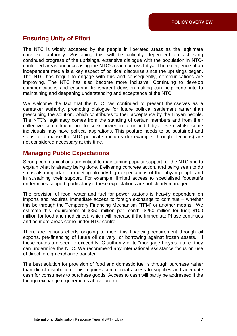### **Ensuring Unity of Effort**

The NTC is widely accepted by the people in liberated areas as the legitimate caretaker authority. Sustaining this will be critically dependent on achieving continued progress of the uprisings, extensive dialogue with the population in NTCcontrolled areas and increasing the NTC's reach across Libya. The emergence of an independent media is a key aspect of political discourse since the uprisings began. The NTC has begun to engage with this and consequently, communications are improving. The NTC has also become more inclusive. Continuing to develop communications and ensuring transparent decision-making can help contribute to maintaining and deepening understanding and acceptance of the NTC.

We welcome the fact that the NTC has continued to present themselves as a caretaker authority, promoting dialogue for future political settlement rather than prescribing the solution, which contributes to their acceptance by the Libyan people. The NTC's legitimacy comes from the standing of certain members and from their collective commitment not to seek power in a unified Libya, even whilst some individuals may have political aspirations. This posture needs to be sustained and steps to formalise the NTC political structures (for example, through elections) are not considered necessary at this time.

### **Managing Public Expectations**

Strong communications are critical to maintaining popular support for the NTC and to explain what is already being done. Delivering concrete action, and being seen to do so, is also important in meeting already high expectations of the Libyan people and in sustaining their support. For example, limited access to specialised foodstuffs undermines support, particularly if these expectations are not clearly managed.

The provision of food, water and fuel for power stations is heavily dependent on imports and requires immediate access to foreign exchange to continue – whether this be through the Temporary Financing Mechanism (TFM) or another means. We estimate this requirement at \$350 million per month (\$250 million for fuel; \$100 million for food and medicines), which will increase if the Immediate Phase continues and as more areas come under NTC-control.

There are various efforts ongoing to meet this financing requirement through oil exports, pre-financing of future oil delivery, or borrowing against frozen assets. If these routes are seen to exceed NTC authority or to "mortgage Libya's future" they can undermine the NTC. We recommend any international assistance focus on use of direct foreign exchange transfer.

The best solution for provision of food and domestic fuel is through purchase rather than direct distribution. This requires commercial access to supplies and adequate cash for consumers to purchase goods. Access to cash will partly be addressed if the foreign exchange requirements above are met.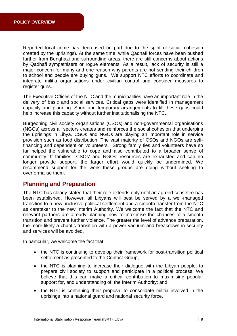Reported local crime has decreased (in part due to the spirit of social cohesion created by the uprisings). At the same time, while Qadhafi forces have been pushed further from Benghazi and surrounding areas, there are still concerns about actions by Qadhafi sympathisers or rogue elements. As a result, lack of security is still a major concern for many and one reason why parents are not sending their children to school and people are buying guns. We support NTC efforts to coordinate and integrate militia organisations under civilian control and consider measures to register guns.

The Executive Offices of the NTC and the municipalities have an important role in the delivery of basic and social services. Critical gaps were identified in management capacity and planning. Short and temporary arrangements to fill these gaps could help increase this capacity without further institutionalising the NTC.

Burgeoning civil society organisations (CSOs) and non-governmental organisations (NGOs) across all sectors creates and reinforces the social cohesion that underpins the uprisings in Libya. CSOs and NGOs are playing an important role in service provision such as food distribution. The vast majority of CSOs and NGOs are selffinancing and dependent on volunteers. Strong family ties and volunteers have so far helped the vulnerable to cope and also contributed to a broader sense of community. If families', CSOs' and NGOs' resources are exhausted and can no longer provide support, the larger effort would quickly be undermined. We recommend support for the work these groups are doing without seeking to overformalise them.

### **Planning and Preparation**

The NTC has clearly stated that their role extends only until an agreed ceasefire has been established. However, all Libyans will best be served by a well-managed transition to a new, inclusive political settlement and a smooth transfer from the NTC as caretaker to the new Interim Authority. We welcome the fact that the NTC and relevant partners are already planning now to maximise the chances of a smooth transition and prevent further violence. The greater the level of advance preparation, the more likely a chaotic transition with a power vacuum and breakdown in security and services will be avoided.

In particular, we welcome the fact that:

- the NTC is continuing to develop their framework for post-transition political settlement as presented to the Contact Group;
- the NTC is planning to increase their dialogue with the Libyan people, to prepare civil society to support and participate in a political process. We believe that this can make a critical contribution to maximising popular support for, and understanding of, the Interim Authority; and
- the NTC is continuing their proposal to consolidate militia involved in the uprisings into a national guard and national security force.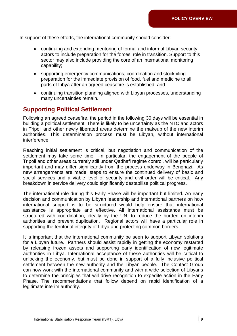In support of these efforts, the international community should consider:

- continuing and extending mentoring of formal and informal Libyan security actors to include preparation for the forces' role in transition. Support to this sector may also include providing the core of an international monitoring capability;
- supporting emergency communications, coordination and stockpiling preparation for the immediate provision of food, fuel and medicine to all parts of Libya after an agreed ceasefire is established; and
- continuing transition planning aligned with Libyan processes, understanding many uncertainties remain.

### **Supporting Political Settlement**

Following an agreed ceasefire, the period in the following 30 days will be essential in building a political settlement. There is likely to be uncertainty as the NTC and actors authorities. This determination process must be Libyan, without international in Tripoli and other newly liberated areas determine the makeup of the new interim interference.

Reaching initial settlement is critical, but negotiation and communication of the settlement may take some time. In particular, the engagement of the people of Tripoli and other areas currently still under Qadhafi regime control, will be particularly new arrangements are made, steps to ensure the continued delivery of basic and social services and a viable level of security and civil order will be critical. Any breakdown in service delivery could significantly destabilise political progress. important and may differ significantly from the process underway in Benghazi. As

The international role during this Early Phase will be important but limited. An early decision and communication by Libyan leadership and international partners on how international support is to be structured would help ensure that international assistance is appropriate and effective. All international assistance must be structured with coordination, ideally by the UN, to reduce the burden on interim authorities and prevent duplication. Regional actors will have a particular role in supporting the territorial integrity of Libya and protecting common borders.

It is important that the international community be seen to support Libyan solutions for a Libyan future. Partners should assist rapidly in getting the economy restarted by releasing frozen assets and supporting early identification of new legitimate authorities in Libya. International acceptance of these authorities will be critical to unlocking the economy, but must be done in support of a fully inclusive political settlement between the new authority and the Libyan people. The Contact Group can now work with the international community and with a wide selection of Libyans to determine the principles that will drive recognition to expedite action in the Early Phase. The recommendations that follow depend on rapid identification of a legitimate interim authority.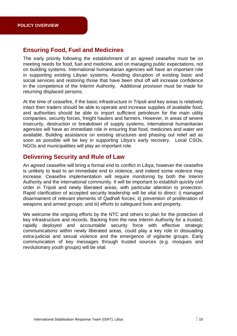### **Ensuring Food, Fuel and Medicines**

The early priority following the establishment of an agreed ceasefire must be on meeting needs for food, fuel and medicine, and on managing public expectations, not on building systems. International humanitarian agencies will have an important role in supporting existing Libyan systems. Avoiding disruption of existing basic and social services and restoring those that have been shut off will increase confidence in the competence of the Interim Authority. Additional provision must be made for returning displaced persons.

At the time of ceasefire, if the basic infrastructure in Tripoli and key areas is relatively intact then traders should be able to operate and increase supplies of available food, and authorities should be able to import sufficient petroleum for the main utility companies, security forces, freight haulers and farmers. However, in areas of severe insecurity, destruction or breakdown of supply systems, international humanitarian agencies will have an immediate role in ensuring that food, medicines and water are available. Building assistance on existing structures and phasing out relief aid as soon as possible will be key in supporting Libya's early recovery. Local CSOs, NGOs and municipalities will play an important role.

### **Delivering Security and Rule of Law**

An agreed ceasefire will bring a formal end to conflict in Libya, however the ceasefire is unlikely to lead to an immediate end to violence, and indeed some violence may increase. Ceasefire implementation will require monitoring by both the Interim Authority and the international community. It will be important to establish quickly civil order in Tripoli and newly liberated areas, with particular attention to protection. Rapid clarification of accepted security leadership will be vital to direct: i) managed disarmament of relevant elements of Qadhafi forces; ii) prevention of proliferation of weapons and armed groups; and iii) efforts to safeguard lives and property.

We welcome the ongoing efforts by the NTC and others to plan for the protection of key infrastructure and records. Backing from the new Interim Authority for a trusted, rapidly deployed and accountable security force with effective strategic communications within newly liberated areas, could play a key role in dissuading extra-judicial and sexual violence and the emergence of vigilante groups. Early communication of key messages through trusted sources (e.g. mosques and revolutionary youth groups) will be vital.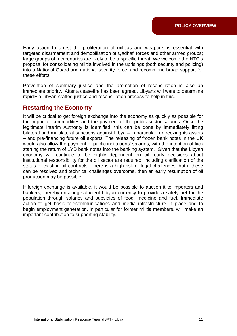Early action to arrest the proliferation of militias and weapons is essential with targeted disarmament and demobilisation of Qadhafi forces and other armed groups; large groups of mercenaries are likely to be a specific threat. We welcome the NTC's proposal for consolidating militia involved in the uprisings (both security and policing) into a National Guard and national security force, and recommend broad support for these efforts.

Prevention of summary justice and the promotion of reconciliation is also an immediate priority. After a ceasefire has been agreed, Libyans will want to determine rapidly a Libyan-crafted justice and reconciliation process to help in this.

### **Restarting the Economy**

It will be critical to get foreign exchange into the economy as quickly as possible for the import of commodities and the payment of the public sector salaries. Once the legitimate Interim Authority is identified, this can be done by immediately lifting bilateral and multilateral sanctions against Libya – in particular, unfreezing its assets – and pre-financing future oil exports. The releasing of frozen bank notes in the UK would also allow the payment of public institutions' salaries, with the intention of kick starting the return of LYD bank notes into the banking system. Given that the Libyan economy will continue to be highly dependent on oil, early decisions about institutional responsibility for the oil sector are required, including clarification of the status of existing oil contracts. There is a high risk of legal challenges, but if these can be resolved and technical challenges overcome, then an early resumption of oil production may be possible.

If foreign exchange is available, it would be possible to auction it to importers and bankers, thereby ensuring sufficient Libyan currency to provide a safety net for the population through salaries and subsidies of food, medicine and fuel. Immediate action to get basic telecommunications and media infrastructure in place and to begin employment generation, in particular for former militia members, will make an important contribution to supporting stability.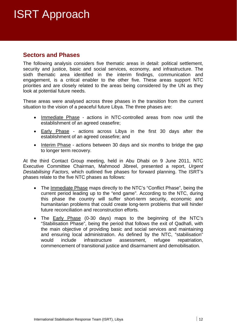## ISRT Approach

### **Sectors and Phases**

The following analysis considers five thematic areas in detail: political settlement, security and justice, basic and social services, economy, and infrastruc ture. The sixth thematic area identified in the interim findings, communication and engagement, is a critical enabler to the other five. These areas support NTC priorities and are closely related to the areas being considered by the UN as they look at potential future needs.

These areas were analysed across three phases in the transition from the current situation to the vision of a peaceful future Libya. The three phases are:

- Immediate Phase actions in NTC-controlled areas from now until the establishment of an agreed ceasefir e;
- Early Phase actions across Libya in the first 30 days after the establishment of an agreed ceasefire; and
- Interim Phase actions between 30 days and six months to bridge the gap to longer term recovery.

At the third Contact Group meeting, held in Abu Dhabi on 9 June 2011, NTC Executive Committee Chairman, Mahmood Jibreel, presented a report, Urgent Destabilising Factors, which outlined five phases for forward planning. The ISRT's phases relate to the five NTC phases as follows:

- The Immediate Phase maps directly to the NTC's "Conflict Phase", being the current period leading up to the "end game". According to the NTC, during this phase the country will suffer short-term security, economic and humanitarian problems that could create long-term problems that will hinder future reconciliation and reconstruction efforts.
- The Early Phase (0-30 days) maps to the beginning of the NTC's "Stabilisation Phase", being the period that follows the exit of Qadhafi, with the main objective of providing basic and social services and maintaining and ensuring local administration. As defined by the NTC, "stabilisation" would include infrastructure assessment, refugee repatriation, commencement of transitional justice and disarmament and demobilisation.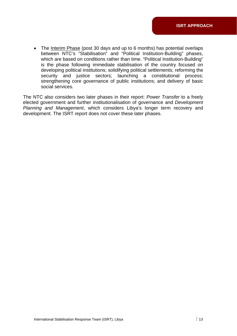• The Interim Phase (post 30 days and up to 6 months) has potential overlaps between NTC's "Stabilisation" and "Political Institution-Building " phases, which are based on conditions rather than time. "Political Institution-Building" is the phase following immediate stabilisation of the country foc used on developing political institutions; solidifying political settlements; refor ming the security an d justice sectors; launching a constitutional process; strengthening core governance of public institutions; and delivery of basic social services.

The NTC also considers two later phases in their report: *Power Transfer* to a freely elected government and further institutionalisation of governance and Development *Planning and Management*, which considers Libya's longer term recovery and development. The ISRT report does not cover these later phases.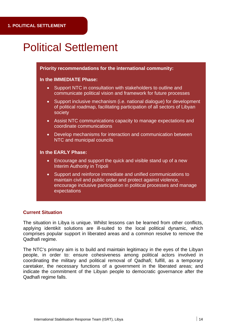## **Political Settlement**

#### **Priority recommendations for the international community:**

#### **In the IMMEDIATE Phase:**

- Support NTC in consultation with stakeholders to outline and communicate political vision and framework for future processes
- Support inclusive mechanism (i.e. national dialogue) for development of political roadmap, facilitating participation of all sectors of Libyan society
- Assist NTC communications capacity to manage expectations and coordinate communications
- Develop mechanisms for interaction and communication between NTC and municipal councils

#### **In the EARLY Phase:**

- Encourage and support the quick and visible stand up of a new Interim Authority in Tripoli
- Support and reinforce immediate and unified communications to maintain civil and public order and protect against violence, encourage inclusive participation in political processes and manage expectations

#### **Current Situation**

The situation in Libya is unique. Whilst lessons can be learned from other conflicts, applying identikit solutions are ill-suited to the local political dynamic, which comprises popular support in liberated areas and a common resolve to remove the Qadhafi regime.

The NTC's primary aim is to build and maintain legitimacy in the eyes of the Libyan people, in order to: ensure cohesiveness among political actors involved in coordinating the military and political removal of Qadhafi; fulfill, as a temporary caretaker, the necessary functions of a government in the liberated areas; and indicate the commitment of the Libyan people to democratic governance after the Qadhafi regime falls.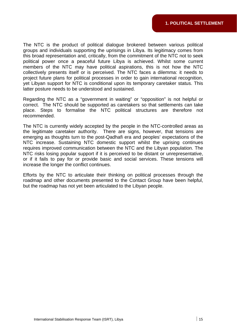The NTC is the product of political dialogue brokered between various political groups and individuals supporting the uprisings in Libya. Its legitimacy comes from this broad representation and, critically, from the commitment of the NTC not to seek political power once a peaceful future Libya is achieved. Whilst some current members of the NTC may have political aspirations, this is not how the NTC collectively presents itself or is perceived. The NTC faces a dilemma: it needs to project future plans for political processes in order to gain international recognition, yet Libyan support for NTC is conditional upon its temporary caretaker status. This latter posture needs to be understood and sustained.

Regarding the NTC as a "government in waiting" or "opposition" is not helpful or correct. The NTC should be supported as caretakers so that settlements can take place. Steps to formalise the NTC political structures are therefore not recommended.

The NTC is currently widely accepted by the people in the NTC-controlled areas as the legitimate caretaker authority. There are signs, however, that tensions are emerging as thoughts turn to the post-Qadhafi era and peoples' expectations of the NTC increase. Sustaining NTC domestic support whilst the uprising continues requires improved communication between the NTC and the Libyan population. The NTC risks losing popular support if it is perceived to be distant or unrepresentative, or if it fails to pay for or provide basic and social services. These tensions will increase the longer the conflict continues.

Efforts by the NTC to articulate their thinking on political processes through the roadmap and other documents presented to the Contact Group have been helpful, but the roadmap has not yet been articulated to the Libyan people.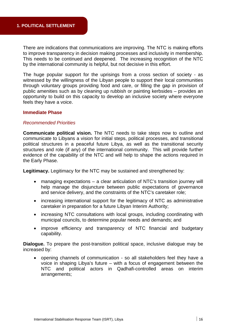There are indications that communications are improving. The NTC is making efforts to improve transparency in decision making processes and inclusivity in membership. This needs to be continued and deepened. The increasing recognition of the NTC by the international community is helpful, but not decisive in this effort.

The huge popular support for the uprisings from a cross section of society - as witnessed by the willingness of the Libyan people to support their local communities through voluntary groups providing food and care, or filling the gap in provision of public amenities such as by cleaning up rubbish or painting kerbsides – provides an opportunity to build on this capacity to develop an inclusive society where everyone feels they have a voice.

#### **Immediate Phase**

#### *Recommended Priorities*

**Communicate political vision.** The NTC needs to take steps now to outline and communicate to Libyans a vision for initial steps, political processes, and transitional political structures in a peaceful future Libya, as well as the transitional security structures and role (if any) of the international community. This will provide further evidence of the capability of the NTC and will help to shape the actions required in the Early Phase.

Legitimacy. Legitimacy for the NTC may be sustained and strengthened by:

- managing expectations a clear articulation of NTC's transition journey will help manage the disjuncture between public expectations of governance and service delivery, and the constraints of the NTC's caretaker role;
- increasing international support for the legitimacy of NTC as administrative caretaker in preparation for a future Libyan Interim Authority;
- increasing NTC consultations with local groups, including coordinating with municipal councils, to determine popular needs and demands; and
- improve efficiency and transparency of NTC financial and budgetary capability.

**Dialogue.** To prepare the post-transition political space, inclusive dialogue may be increased by:

 opening channels of communication - so all stakeholders feel they have a voice in shaping Libya's future – with a focus of engagement between the NTC and political actors in Qadhafi-controlled areas on interim arrangements;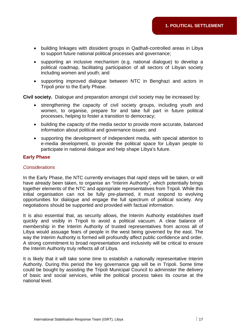- building linkages with dissident groups in Qadhafi-controlled areas in Libya to support future national political processes and governance;
- supporting an inclusive mechanism (e.g. national dialogue) to develop a political roadmap, facilitating participation of all sectors of Libyan society including women and youth; and
- supporting improved dialogue between NTC in Benghazi and actors in Tripoli prior to the Early Phase.

Civil society. Dialogue and preparation amongst civil society may be increased by:

- strengthening the capacity of civil society groups, including youth and women, to organise, prepare for and take full part in future political processes, helping to foster a transition to democracy;
- building the capacity of the media sector to provide more accurate, balanced information about political and governance issues; and
- supporting the development of independent media, with special attention to e-media development, to provide the political space for Libyan people to participate in national dialogue and help shape Libya's future.

#### **Early Phase**

#### *Considerations*

In the Early Phase, the NTC currently envisages that rapid steps will be taken, or will have already been taken, to organise an "Interim Authority", which potentially brings together elements of the NTC and appropriate representatives from Tripoli. While this initial organisation can not be fully pre-planned, it must respond to evolving opportunities for dialogue and engage the full spectrum of political society. Any negotiations should be supported and provided with factual information.

It is also essential that, as security allows, the Interim Authority establishes itself quickly and visibly in Tripoli to avoid a political vacuum. A clear balance of membership in the Interim Authority of trusted representatives from across all of Libya would assuage fears of people in the west being governed by the east. The way the Interim Authority is formed will profoundly affect public confidence and order. A strong commitment to broad representation and inclusivity will be critical to ensure the Interim Authority truly reflects all of Libya.

It is likely that it will take some time to establish a nationally representative Interim Authority. During this period the key governance gap will be in Tripoli. Some time could be bought by assisting the Tripoli Municipal Council to administer the delivery of basic and social services, while the political process takes its course at the national level.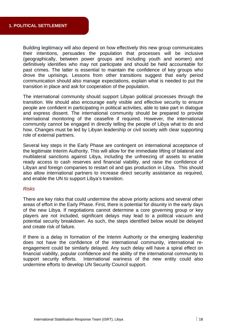Building legitimacy will also depend on how effectively this new group communicates their intentions, persuades the population that processes will be inclusive (geographically, between power groups and including youth and women) and definitively identifies who may not participate and should be held accountable for past crimes. The latter is essential to maintain the confidence of key groups who drove the uprisings. Lessons from other transitions suggest that early period communication should also manage expectations, explain what is needed to put the transition in place and ask for cooperation of the population.

The international community should support Libyan political processes through the transition. We should also encourage early visible and effective security to ensure people are confident in participating in political activities, able to take part in dialogue and express dissent. The international community should be prepared to provide international monitoring of the ceasefire if required. However, the international how. Changes must be led by Libyan leadership or civil society with clear supporting community cannot be engaged in directly telling the people of Libya what to do and role of external partners.

Several key steps in the Early Phase are contingent on international acceptance of the legitimate Interim Authority. This will allow for the immediate lifting of bilateral and multilateral sanctions against Libya, including the unfreezing of assets to enable ready access to cash reserves and financial viability, and raise the confidence of Libyan and foreign companies to restart oil and gas production in Libya. This should also allow international partners to increase direct security assistance as required, and enable the UN to support Libya's transition.

#### *Risks*

There are key risks that could undermine the above priority actions and several other areas of effort in the Early Phase. First, there is potential for disunity in the early days of the new Libya. If negotiations cannot determine a core governing group or key potential security breakdown. As such, the steps identified below would be delayed players are not included, significant delays may lead to a political vacuum and and create risk of failure.

If there is a delay in formation of the Interim Authority or the emerging leadership does not have the confidence of the international community, international reengagement could be similarly delayed. Any such delay will have a spiral effect on financial viability, popular confidence and the ability of the international community to support security efforts. International wariness of the new entity could also undermine efforts to develop UN Security Council support.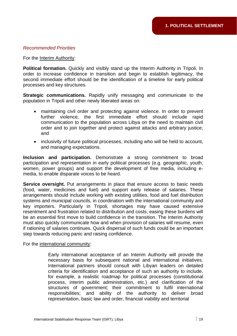#### *Recommended Priorities*

#### For the Interim Authority:

Political formation. Quickly and visibly stand up the Interim Authority in Tripoli. In order to increase confidence in transition and begin to establish legitimacy, the second immediate effort should be the identification of a timeline for early political processes and key structures.

**Strategic communications.** Rapidly unify messaging and communicate to the population in Tripoli and other newly liberated areas on:

- maintaining civil order and protecting against violence. In order to prevent violence, the first immediate effort should include rapid communication to the population across Libya on the need to maintain civil and further order and to join together and protect against attacks and arbitrary justice;
- inclusivity of future political processes, including who will be held to account, and managing expectations.

**Inclusion and participation.** Demonstrate a strong commitment to broad participation and representation in early political processes (e.g. geographic, youth, women, power groups) and support the development of free media, including emedia, to enable disparate voices to be heard.

**Service oversight.** Put arrangements in place that ensure access to basic needs (food, water, medicines and fuel) and support early release of salaries. These arrangements should include working with existing utilities, food and fuel distribution systems and municipal councils, in coordination with the international community and key importers. Particularly in Tripoli, shortages may have caused extensive resentment and frustration related to distribution and costs; easing these burdens will be an essential first move to build confidence in the transition. The Interim Authority must also quickly communicate how and when provision of salaries will resume, even if rationing of salaries continues. Quick dispersal of such funds could be an important s tep towards reducing panic and raising confidence.

#### For the international community:

 Early international acceptance of an Interim Authority will pro vide the necessary basis for subsequent national and international in itiatives. International partners should consult with Libyan leaders on detailed criteria for identification and acceptance of such an authority to include, for example, a realistic roadmap for political processes (constitutional process, interim public administration, etc.) and clarification of the structures of government; their commitment to fulfil international responsibilities; and ability of the authority to deliver broad representation, basic law and order, financial viability and territorial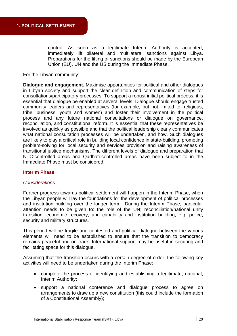control. As soon as a legitimate Interim Authority is accepted, immediately lift bilateral and multilateral sanctions against Libya. Preparations for the lifting of sanctions should be made by the European Union (EU), UN and the US during the Immediate Phase.

#### For the Libyan community:

**Dialogue and engagement.** Maximise opportunities for political and other dialogues in Libyan society and support the clear definition and communication of steps for consultations/participatory processes. To support a robust initial political pro cess, it is essential that dialogue be enabled at several levels. Dialogue should engag e trusted community leaders and representatives (for example, but not limited to, religious, tribe, business, youth and women) and foster their involvement in th e political process and any future national consultations or dialogue on go vernance, reconciliation, and constitutional reform. It is essential that these represen tatives be involved as quickly as possible and that the political leadership clearly com municates what national consultation processes will be undertaken, and how. Such dialogues are likely to play a critical role in building local confidence in state-building, promoting problem-solving for local security and services provision and raising awareness of transitional justice mechanisms. The different levels of dialogue and preparation that NTC-controlled areas and Qadhafi-controlled areas have been subject to in the Immediate Phase must be considered.

#### **Interim Phase**

#### *Considerations*

Further progress towards political settlement will happen in the Interim Phase, when the Libyan people will lay the foundations for the development of political processes and institution building over the longer term. During the Interim Phase, particular attention needs to be given to: the role of the UN; reconciliation/national unity transition; economic recovery; and capability and institution building, e.g. police, security and military structures.

This period will be fragile and contested and political dialogue between the various elements will need to be established to ensure that the transition to democracy remains peaceful and on track. International support may be useful in securing and facilitating space for this dialogue.

Assuming that the transition occurs with a certain degree of order, the following key activities will need to be undertaken during the Interim Phase:

- complete the process of identifying and establishing a legitimate, national, Interim Authority;
- support a national conference and dialogue process to agree on arrangements to draw up a new constitution (this could include the formation of a Constitutional Assembly);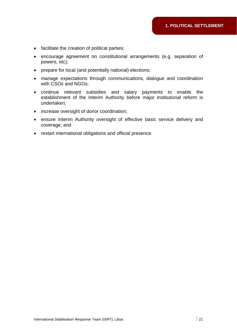- facilitate the creation of political parties;
- encourage agreement on constitutional arrangements (e.g. separation of powers, etc);
- prepare for local (and potentially national) elections;
- manage expectations through communications, dialogue and coordination with CSOs and NGOs;
- continue relevant subsidies and salary payments to enable the establishment of the Interim Authority before major institutional reform is undertaken;
- increase oversight of donor coordination;
- ensure Interim Authority oversight of effective basic service delivery and coverage; and
- restart international obligations and official presence.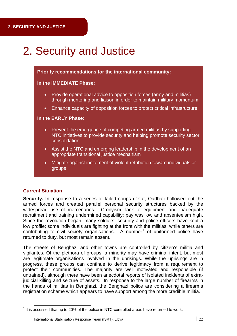## 2. Security and Justice

**Priority recommendations for the international community:** 

#### **In the IMMEDIATE Phase:**

- Provide operational advice to opposition forces (army and militias) through mentoring and liaison in order to maintain military momentum
- Enhance capacity of opposition forces to protect critical infrastructure

#### **In the EARLY Phase:**

- Prevent the emergence of competing armed militias by supporting NTC initiatives to provide security and helping promote security sector consolidation
- Assist the NTC and emerging leadership in the development of an appropriate transitional justice mechanism
- Mitigate against incitement of violent retribution toward individuals or groups

#### **Current Situation**

Security. In response to a series of failed coups d'état, Qadhafi hollowed out the armed forces and created parallel personal security structures backed by the widespread use of mercenaries. Cronyism, lack of equipment and inadequate recruitment and training undermined capability; pay was low and absenteeism high. Since the revolution began, many soldiers, security and police officers have kept a low profile; some individuals are fighting at the front with the militias, while others are contributing to civil society organisations. A number<sup>1</sup> of uniformed police have returned to duty, but most remain absent.

The streets of Benghazi and other towns are controlled by citizen's militia and vigilantes. Of the plethora of groups, a minority may have criminal intent, but most are legitimate organisations involved in the uprisings. While the uprisings are in progress, these groups can continue to derive legitimacy from a requirement to untrained), although there have been anecdotal reports of isolated incidents of extrajudicial killing and seizure of assets. In response to the large number of firearms in the hands of militias in Benghazi, the Benghazi police are considering a firearms registration scheme which appears to have support among the more credible militia. protect their communities. The majority are well motivated and responsible (if

<u> Andrew Maria (1989)</u>

 $1$  It is assessed that up to 20% of the police in NTC-controlled areas have returned to work.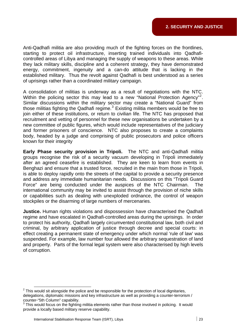Anti-Qadhafi militia are also providing much of the fighting forces on the frontlines, starting to protect oil infrastructure, inserting trained individuals into Qadhaficontrolled areas of Libya and managing the supply of weapons to these areas. While they lack military skills, discipline and a coherent strategy, they have demonstrated established military. Thus the revolt against Qadhafi is best understood as a series energy, commitment, ingenuity and a can-do attitude that is lacking in the of uprisings rather than a coordinated military campaign.

A consolidation of militias is underway as a result of negotiations with the NTC. Within the policing sector this may lead to a new "National Protection Agency"<sup>2</sup>. Similar discussions within the military sector may create a "National Guard" from those militias fighting the Qadhafi regime. $3$  Existing militia members would be free to join either of these institutions, or return to civilian life. The NTC has proposed that recruitment and vetting of personnel for these new organisations be undertaken by a new committee of public figures, which would include representatives of the judiciary body, headed by a judge and comprising of public prosecutors and police officers and former prisoners of conscience. NTC also proposes to create a complaints known for their integrity

**Early Phase security provision in Tripoli.** The NTC and anti-Qadhafi militia groups recognise the risk of a security vacuum developing in Tripoli immediately after an agreed ceasefire is established. They are keen to learn from events in Benghazi and ensure that a trusted force, recruited in the main from those in Tripoli, is able to deploy rapidly onto the streets of the capital to provide a security presence and address any immediate humanitarian needs. Discussions on this "Tripoli Guard Force" are being conducted under the auspices of the NTC Chairman. The international community may be invited to assist through the provision of niche skills or capabilities such as dealing with unexploded ordnance, the control of weapon stockpiles or the disarming of large numbers of mercenaries.

**Justice.** Human rights violations and dispossession have characterised the Qadhafi regime and have escalated in Qadhafi-controlled areas during the uprisings. In order to protect his authority, Qadhafi largely circumvented constitutional law, both civil and criminal, by arbitrary application of justice through decree and special courts: in effect creating a permanent state of emergency under which normal 'rule of law' was suspended. For example, law number four allowed the arbitrary sequestration of land and property. Parts of the formal legal system were also characterised by high levels of corruption.

<span id="page-22-0"></span><sup>&</sup>lt;sup>2</sup> This would sit alongside the police and be responsible for the protection of local dignitaries, delegations, diplomatic missions and key infrastructure as well as providing a counter-terrorism / counter-"5th Column" capability.

 $3$  This would focus on the fighting militia elements rather than those involved in policing. It would provide a locally based military reserve capability.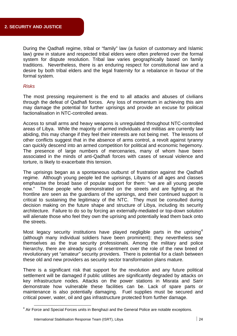During the Qadhafi regime, tribal or "family" law (a fusion of customary and Islamic law) grew in stature and respected tribal elders were often preferred over the formal system for dispute resolution. Tribal law varies geographically based on family traditions. Nevertheless, there is an enduring respect for constitutional law and a desire by both tribal elders and the legal fraternity for a rebalance in favour of the formal system.

#### *Risks*

The most pressing requirement is the end to all attacks and abuses of civilians through the defeat of Qadhafi forces. Any loss of momentum in achieving this aim may damage the potential for further uprisings and provide an excuse for political factionalisation in NTC-controlled areas.

Access to small arms and heavy weapons is unregulated throughout NTC-controlled areas of Libya. While the majority of armed individuals and militias are currently law abiding, this may change if they feel their interests are not being met. The lessons of other conflicts suggest that in the absence of arms control, a revolt against tyranny can quickly descend into an armed competition for political and economic hegemony. The presence of large numbers of mercenaries, many of whom have been associated in the minds of anti-Qadhafi forces with cases of sexual violence and torture, is likely to exacerbate this tension.

The uprisings began as a spontaneous outburst of frustration against the Qadhafi regime. Although young people led the uprisings, Libyans of all ages and classes emphasise the broad base of popular support for them: "we are all young people now." Those people who demonstrated on the streets and are fighting at the frontline are seen as the guardians of the uprisings, and their continued support is critical to sustaining the legitimacy of the NTC. They must be consulted during decision making on the future shape and structure of Libya, including its security architecture. Failure to do so by forcing an externally-mediated or top-down solution will alienate those who feel they own the uprising and potentially lead them back onto the streets.

Most legacy security institutions have played negligible parts in the uprising<sup>4</sup> (although many individual soldiers have been prominent); they nevertheless see themselves as the true security professionals. Among the military and police hierarchy, there are already signs of resentment over the role of the new breed of revolutionary yet "amateur" security providers. There is potential for a clash between . these old and new providers as security sector transformation plans mature

key infrastructure nodes. Attacks on the power stations in Misrata and Sarir demonstrate how vulnerable these facilities can be. Lack of spare parts or maintenance is also potentially damaging. Fuel supplies must be secured and critical power, water, oil and gas infrastructure protected from further damage. There is a significant risk that support for the revolution and any future political settlement will be damaged if public utilities are significantly degraded by attacks on

<u> Andrew Maria (1989)</u>

<sup>&</sup>lt;sup>4</sup> Air Force and Special Forces units in Benghazi and the General Police are notable exceptions.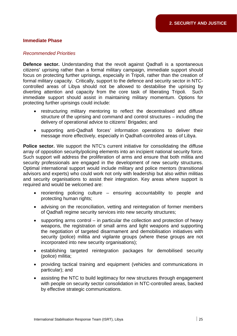#### **Immediate Phase**

#### *Recommended Priorities*

**Defence sector.** Understanding that the revolt against Qadhafi is a spontaneous citizens' uprising rather than a formal military campaign, immediate support should focus on protecting further uprisings, especially in Tripoli, rather than the creation of formal military capacity. Critically, support to the defence and security sector in NTCcontrolled areas of Libya should not be allowed to destabilise the uprising by diverting attention and capacity from the core task of liberating Tripoli. Such immediate support should assist in maintaining military momentum. Options for protecting further uprisings could include:

- e restructuring military mentoring to reflect the decentralised and diffus structure of the uprising and command and control structures – including the delivery of operational advice to citizens' Brigades; and
- supporting anti-Qadhafi forces' information operations to deliver their message more effectively, especially in Qadhafi-controlled areas of Libya.

Police sector. We support the NTC's current initiative for consolidating the diffuse array of opposition security/policing elements into an incipient national security force. Such support will address the proliferation of arms and ensure that both militia and security professionals are engaged in the development of new security structures. Optimal international support would include military and police mentors (transitional advisors and experts) who could work not only with leadership but also within militias and security organisations to assist their integration. Key areas where support is required and would be welcomed are:

- $\bullet$  reorienting policing culture ensuring accountability to people and protecting human rights;
- advising on the reconciliation, vetting and reintegration of former members of Qadhafi regime security services into new security structures;
- $\bullet$  supporting arms control in particular the collection and protection of heavy weapons, the registration of small arms and light weapons and supporting the negotiation of targeted disarmament and demobilisation initiatives with security (police) militia and vigilante groups (where these groups are not incorporated into new security organisations);
- establishing targeted reintegration packages for demobilised security (police) militia;
- providing tactical training and equipment (vehicles and communications in particular); and
- assisting the NTC to build legitimacy for new structures through engagement with people on security sector consolidation in NTC-controlled areas, backed by effective strategic communications.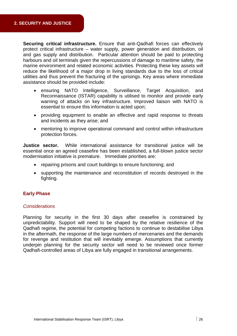**Securing critical infrastructure.** Ensure that anti-Qadhafi forces can effectively protect critical infrastructure – water supply, power generation and distribution, oil and gas supply and distribution. Particular attention should be paid to protecting harbours and oil terminals given the repercussions of damage to maritime safety, the marine environment and related economic activities. Protecting these key assets will utilities and thus prevent the fracturing of the uprisings. Key areas where immediate reduce the likelihood of a major drop in living standards due to the loss of critical assistance should be provided include:

- ensuring NATO Intelligence, Surveillance, Target Acquisition, and Reconnaissance (ISTAR) capability is utilised to monitor and provide early warning of attacks on key infrastructure. Improved liaison with NATO is essential to ensure this information is acted upon;
- providing equipment to enable an effective and rapid response to threats and incidents as they arise; and
- mentoring to improve operational command and control within infrastructure protection forces.

Justice sector. While international assistance for transitional justice will be essential once an agreed ceasefire has been established, a full-blown justice sector modernisation initiative is premature. Immediate priorities are:

- repairing prisons and court buildings to ensure functioning; and
- supporting the maintenance and reconstitution of records destroyed in the fighting.

#### **Early Phase**

#### *Considerations*

Planning for security in the first 30 days after ceasefire is constrained by unpredictability. Support will need to be shaped by the relative resilience of the Qadhafi regime, the potential for competing factions to continue to destabilise Libya in the aftermath, the response of the large numbers of mercenaries and the demands for revenge and restitution that will inevitably emerge. Assumptions that currently underpin planning for the security sector will need to be reviewed once former Qadhafi-controlled areas of Libya are fully engaged in transitional arrangements.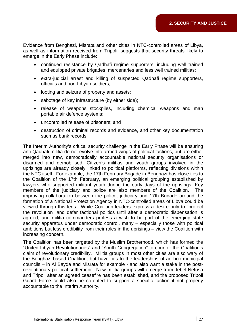Evidence from Benghazi, Misrata and other cities in NTC-controlled areas of Libya, as well as information received from Tripoli, suggests that security threats likely to emerge in the Early Phase include:

- continued resistance by Qadhafi regime supporters, including well trained and equipped private brigades, mercenaries and less well trained militias;
- extra-judicial arrest and killing of suspected Qadhafi regime supporters, officials and non-Libyan soldiers;
- looting and seizure of property and assets;
- $\bullet$  sabotage of key infrastructure (by either side);
- release of weapons stockpiles, including chemical weapons and man portable air defence systems;
- uncontrolled release of prisoners; and
- destruction of criminal records and evidence, and other key documentation such as bank records.

The Interim Authority's critical security challenge in the Early Phase will be ensuring anti-Qadhafi militia do not evolve into armed wings of political factions, but are either merged into new, democratically accountable national security organisations or the NTC itself. For example, the 17th February Brigade in Benghazi has close ties to the Coalition of the 17th February, an emerging political grouping established by lawyers who supported militant youth during the early days of the uprisings. Key members of the judiciary and police are also members of the Coalition. The improving collaboration between the police, judiciary and 17th Brigade around the formation of a National Protection Agency in NTC-controlled areas of Libya could be viewed through this lens. While Coalition leaders express a desire only to "protect the revolution" and defer factional politics until after a democratic dispensation is agreed, and militia commanders profess a wish to be part of the emerging state security apparatus under democratic control, many – especially those with political ambitions but less credibility from their roles in the uprisings – view the Coalition with disarmed and demobilised. Citizen's militias and youth groups involved in the uprisings are already closely linked to political platforms, reflecting divisions within increasing concern.

The Coalition has been targeted by the Muslim Brotherhood, which has formed the "United Libyan Revolutionaries" and "Youth Congregation" to counter the Coalition's claim of revolutionary credibility. Militia groups in most other cities are also wary of the Benghazi-based Coalition, but have ties to the leaderships of ad hoc municipal councils – in Al Bayda and Misrata for example - and also want a stake in the postrevolutionary political settlement. New militia groups will emerge from Jebel Nefusa and Tripoli after an agreed ceasefire has been established, and the proposed Tripoli Guard Force could also be co-opted to support a specific faction if not properly accountable to the Interim Authority.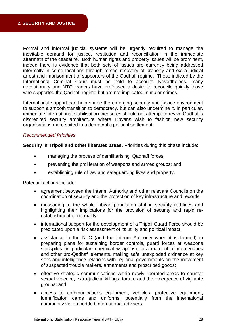Formal and informal judicial systems will be urgently required to manage the inevitable demand for justice, restitution and reconciliation in the immediate aftermath of the ceasefire. Both human rights and property issues will be prominent, indeed there is evidence that both sets of issues are currently being addressed informally in some locations through forced recovery of property and extra-judicial arrest and imprisonment of supporters of the Qadhafi regime. Those indicted by the International Criminal Court must be held to account. Nevertheless, many revolutionary and NTC leaders have professed a desire to reconcile quickly those who supported the Qadhafi regime but are not implicated in major crimes.

International support can help shape the emerging security and justice environment to support a smooth transition to democracy, but can also undermine it. In particular, immediate international stabilisation measures should not attempt to revive Qadhafi's discredited security architecture where Libyans wish to fashion new security organisations more suited to a democratic political settlement.

#### *Recommended Priorities*

**Security in Tripoli and other liberated areas.** Priorities during this phase include:

- managing the process of demilitarising Qadhafi forces;
- preventing the proliferation of weapons and armed groups; and
- establishing rule of law and safeguarding lives and property.

Potential actions include:

- agreement between the Interim Authority and other relevant Councils on the coordination of security and the protection of key infrastructure and records;
- messaging to the whole Libyan population stating security red-lines and highlighting their implications for the provision of security and rapid reestablishment of normality;
- international support for the development of a Tripoli Guard Force should be predicated upon a risk assessment of its utility and political impact;
- preparing plans for sustaining border controls, guard forces at weapons sites and intelligence relations with regional governments on the movement assistance to the NTC (and the Interim Authority when it is formed) in stockpiles (in particular, chemical weapons), disarmament of mercenaries and other pro-Qadhafi elements, making safe unexploded ordnance at key of suspected trouble makers, armaments and proscribed goods;
- effective strategic communications within newly liberated areas to counter sexual violence, extra-judicial killings, torture and the emergence of vigilante groups; and
- access to communications equipment, vehicles, protective equipment, identification cards and uniforms: potentially from the international community via embedded international advisers.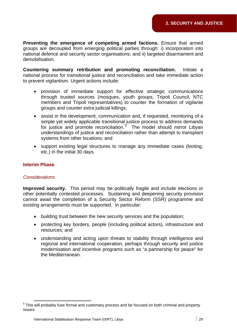Preventing the emergence of competing armed factions. Ensure that armed groups are decoupled from emerging political parties through: i) incorporation into national defence and security sector organisations; and ii) targeted disarmament and demobilisation.

national process for transitional justice and reconciliation and take immediate action **Countering summary retribution and promoting reconciliation.** Initiate a to prevent vigilantism. Urgent actions include:

- provision of immediate support for effective strategic communications through trusted sources (mosques, youth groups, Tripoli Council, NTC members and Tripoli representatives) to counter the formation of vigilante groups and counter extra judicial killings;
- assist in the development, communication and, if requested, monitoring of a simple yet widely applicable transitional justice process to address demands for justice and promote reconciliation.<sup>5</sup> The model should mirror Libyan understandings of justice and reconciliation rather than attempt to transplant systems from other locations; and
- support existing legal structures to manage any immediate cases (looting, etc.) in the initial 30 days.

#### **Interim Phase**

#### *Considerations*

**Improved security.** This period may be politically fragile and include elections or cannot await the completion of a Security Sector Reform (SSR) programme and existing arrangements must be supported. In particular: other potentially contested processes. Sustaining and deepening security provision

- building trust between the new security services and the population;
- protecting key borders, people (including political actors), infrastructure and resources; and
- understanding and acting upon threats to stability through intelligence and regional and international cooperation, perhaps through security and justice modernisation and incentive programs such as "a partnership for peace" for the Mediterranean.

<sup>&</sup>lt;u> Andrew Maria (1989)</u>  $5$  This will probably fuse formal and customary process and be focused on both criminal and property issues.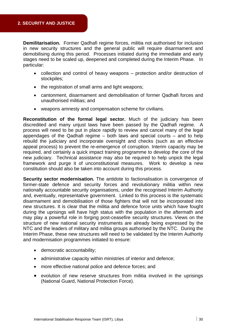**Demilitarisation.** Former Qadhafi regime forces, militia not authorised for inclusion in new security structures and the general public will require disarmament and demobilising during this period. Processes initiated during the immediate and early stages need to be scaled up, deepened and completed during the Interim Phase. In particular:

- collection and control of heavy weapons protection and/or destruction of stockpiles;
- the registration of small arms and light weapons;
- cantonment, disarmament and demobilisation of former Qadhafi forces and unauthorised militias; and
- weapons amnesty and compensation scheme for civilians.

Reconstitution of the formal legal sector. Much of the judiciary has been discredited and many unjust laws have been passed by the Qadhafi regime. A process will need to be put in place rapidly to review and cancel many of the legal appendages of the Qadhafi regime  $-$  both laws and special courts  $-$  and to help rebuild the judiciary and incorporate oversight and checks (such as an effective appeal process) to prevent the re-emergence of corruption. Interim capacity may be required, and certainly a quick impact training programme to develop the core of the new judiciary. Technical assistance may also be required to help unpick the legal framework and purge it of unconstitutional measures. Work to develop a new constitution should also be taken into account during this process.

**Security sector modernisation.** The antidote to factionalisation is convergence of former-state defence and security forces and revolutionary militia within new nationally accountable security organisations, under the recognised Interim Authority and, eventually, representative government. Linked to this process is the systematic disarmament and demobilisation of those fighters that will not be incorporated into new structures. It is clear that the militia and defence force units which have fought during the uprisings will have high status with the population in the aftermath and may play a powerful role in forging post-ceasefire security structures. Views on the structure of new national security instruments are already being expressed by the NTC and the leaders of military and militia groups authorised by the NTC. During the Interim Phase, these new structures will need to be validated by the Interim Authority and modernisation programmes initiated to ensure:

- democratic accountability;
- administrative capacity within ministries of interior and defence:
- more effective national police and defence forces; and
- evolution of new reserve structures from militia involved in the uprisings (National Guard, National Protection Force).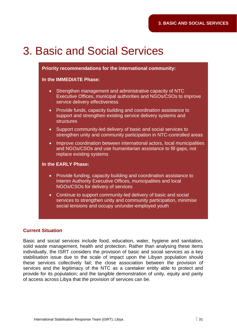## 3. Basic and Social Services

#### **Priority recommendations for the international community:**

#### **In the IMMEDIATE Phase:**

- Strengthen management and administrative capacity of NTC Executive Offices, municipal authorities and NGOs/CSOs to improve service delivery effectiveness
- support and strengthen existing service delivery systems and • Provide funds, capacity building and coordination assistance to **structures**
- Support community-led delivery of basic and social services to strengthen unity and community participation in NTC-controlled areas
- Improve coordination between international actors, local municipalities and NGOs/CSOs and use humanitarian assistance to fill gaps, not replace existing systems

#### **In the EARLY Phase:**

- Provide funding, capacity building and coordination assistance to Interim Authority Executive Offices, municipalities and local NGOs/CSOs for delivery of services
- Continue to support community-led delivery of basic and social services to strengthen unity and community participation, minimise social tensions and occupy un/under-employed youth

#### **Current Situation**

Basic and social services include food, education, water, hygiene and sanitation, solid waste management, health and protection. Rather than analysing these items individually, the ISRT considers the provision of basic and social services as a key stabilisation issue due to the scale of impact upon the Libyan population should these services collectively fail; the close association between the provision of services and the legitimacy of the NTC as a caretaker entity able to protect and provide for its population; and the tangible demonstration of unity, equity and parity of access across Libya that the provision of services can be.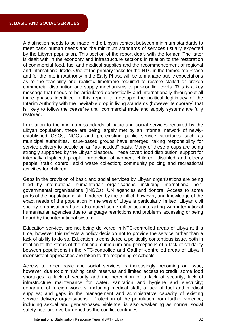A distinction needs to be made in the Libyan context between minimum standards to meet basic human needs and the minimum standards of services usually expected by the Libyan population. This section of the report deals with the former. The latter is dealt with in the economy and infrastructure sections in relation to the restoration of commercial food, fuel and medical supplies and the recommencement of regional and international trade. One of the primary tasks for the NTC in the Immediate Phase and for the Interim Authority in the Early Phase will be to manage public expectations as to the feasibility and realistic timeframe required to restore stalled or broken commercial distribution and supply mechanisms to pre-conflict levels. This is a key message that needs to be articulated domestically and internationally throughout all three phases identified in this report, to decouple the political legitimacy of the Interim Authority with the inevitable drop in living standards (however temporary) that is likely to follow the ceasefire until commercial trade and supply systems are fully restored.

In relation to the minimum standards of basic and social services required by the Libyan population, these are being largely met by an informal network of newlyestablished CSOs, NGOs and pre-existing public service structures such as municipal authorities. Issue-based groups have emerged, taking responsibility for strongly supported by the Libyan diaspora. These cover: food distribution; support for internally displaced people; protection of women, children, disabled and elderly people; traffic control; solid waste collection; community policing and recreational service delivery to people on an "as-needed" basis. Many of these groups are being activities for children.

Gaps in the provision of basic and social services by Libyan organisations are being filled by international humanitarian organisations, including international nonparts of the population is still hindered by the conflict, however, and knowledge of the exact needs of the population in the west of Libya is particularly limited. Libyan civil society organisations have also noted some difficulties interacting with international humanitarian agencies due to language restrictions and problems accessing or being governmental organisations (INGOs), UN agencies and donors. Access to some heard by the international system.

Education services are not being delivered in NTC-controlled areas of Libya at this time, however this reflects a policy decision not to provide the service rather than a lack of ability to do so. Education is considered a politically contentious issue, both in relation to the status of the national curriculum and perceptions of a lack of solidarity between populations in the NTC-controlled and Qadhafi-controlled areas of Libya if inconsistent approaches are taken to the reopening of schools.

Access to other basic and social services is increasingly becoming an issue, shortages; a lack of security and the perception of a lack of security; lack of infrastructure maintenance for water, sanitation and hygiene and electricity; departure of foreign workers, including medical staff; a lack of fuel and medical supplies; and gaps in the management and administrative capacity of existing service delivery organisations. Protection of the population from further violence, including sexual and gender-based violence, is also weakening as normal social safety nets are overburdened as the conflict continues. however, due to: diminishing cash reserves and limited access to credit; some food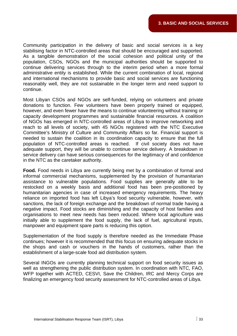Community participation in the delivery of basic and social services is a key stabilising factor in NTC-controlled areas that should be encouraged and supported. As a tangible demonstration of the social cohesion and political unity of the population, CSOs, NGOs and the municipal authorities should be supported to continue delivering services through to the interim period when a more formal administrative entity is established. While the current combination of local, regional and international mechanisms to provide basic and social services are functioning reasonably well, they are not sustainable in the longer term and need support to continue.

Most Libyan CSOs and NGOs are self-funded, relying on volunteers and private donations to function. Few volunteers have been properly trained or equipped, however, and even fewer have the means to continue volunteering without training or capacity development programmes and sustainable financial resources. A coalition of NGOs has emerged in NTC-controlled areas of Libya to improve networking and reach to all levels of society, with 45 NGOs registered with the NTC Executive Committee's Ministry of Culture and Community Affairs so far. Financial support is needed to sustain the coalition in its coordination capacity to ensure that the full If civil society does not have adequate support, they will be unable to continue service delivery. A breakdown in service delivery can have serious consequences for the legitimacy of and confidence population of NTC-controlled areas is reached. in the NTC as the caretaker authority.

Food. Food needs in Libya are currently being met by a combination of formal and informal commercial mechanisms, supplemented by the provision of humanitarian assistance to vulnerable populations. Food supplies are generally able to be restocked on a weekly basis and additional food has been pre-positioned by humanitarian agencies in case of increased emergency requirements. The heavy reliance on imported food has left Libya's food security vulnerable, however, with sanctions, the lack of foreign exchange and the breakdown of normal trade having a negative impact. Food stocks are diminishing and the capacity of host families and organisations to meet new needs has been reduced. Where local agriculture was initially able to supplement the food supply, the lack of fuel, agricultural inputs, manpower and equipment spare parts is reducing this option.

Supplementation of the food supply is therefore needed as the Immediate Phase continues; however it is recommended that this focus on ensuring adequate stocks in the shops and cash or vouchers in the hands of customers, rather than the establishment of a large-scale food aid distribution system.

Several INGOs are currently planning technical support on food security issues as well as strengthening the public distribution system. In coordination with NTC, FAO, WFP together with ACTED, CESVI, Save the Children, IRC and Mercy Corps are finalizing an emergency food security assessment for NTC-controlled areas of Libya.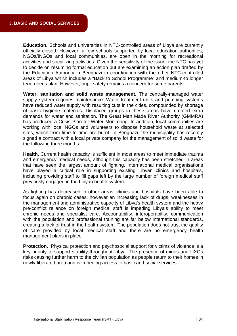**Education.** Schools and universities in NTC-controlled areas of Libya are currently officially closed. However, a few schools supported by local education authorities, NGOs/INGOs and local communities, are open in the morning for recreational activities and socializing activities. Given the sensitivity of the issue, the NTC has yet to decide on resuming formal education but are examining an action plan drafted by the Education Authority in Benghazi in coordination with the other NTC-controlled areas of Libya which includes a "Back to School Programme" and medium-to longer term needs plan. However, pupil safety remains a concern for some parents.

Water, sanitation and solid waste management. The centrally-managed water supply system requires maintenance. Water treatment units and pumping systems have reduced water supply with resulting cuts in the cities, compounded by shortage of basic hygiene materials. Displaced groups in these areas have created extra demands for water and sanitation. The Great Man Made River Authority (GMMRA) has produced a Crisis Plan for Water Monitoring. In addition, local communities are working with local NGOs and volunteers to dispose household waste at selected sites, which from time to time are burnt. In Benghazi, the municipality has recently signed a contract with a local private company for the management of solid waste for the following three months.

Health. Current health capacity is sufficient in most areas to meet immediate trauma and emergency medical needs, although this capacity has been stretched in areas that have seen the largest amount of fighting. International medical organisations have played a critical role in supporting existing Libyan clinics and hospitals, including providing staff to fill gaps left by the large number of foreign medical staff previously engaged in the Libyan health system.

As fighting has decreased in other areas, clinics and hospitals have been able to focus again on chronic cases, however an increasing lack of drugs, weaknesses in the management and administrative capacity of Libya's health system and the heavy pre-conflict reliance on foreign medical staff is impeding Libya's ability to meet chronic needs and specialist care. Accountability, interoperability, communication with the population and professional training are far below international standards, creating a lack of trust in the health system. The population does not trust the quality of care provided by local medical staff and there are no emergency health management plans in place.

**Protection.** Physical protection and psychosocial support for victims of violence is a key priority to support stability throughout Libya. The presence of mines and UXOs risks causing further harm to the civilian population as people return to their homes in newly-liberated area and is impeding access to basic and social services.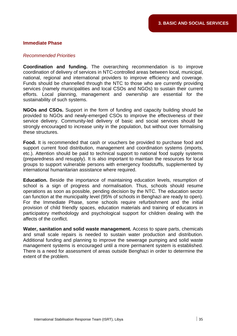#### **Immediate Phase**

#### *Recommended Priorities*

**Coordination and funding.** The overarching recommendation is to improve coordination of delivery of services in NTC-controlled areas between local, municipal, national, regional and international providers to improve efficiency and coverage. Funds should be channelled through the NTC to those who are currently providing services (namely municipalities and local CSOs and NGOs) to sustain their current efforts. Local planning, management and ownership are essential for the sustainability of such systems.

NGOs and CSOs. Support in the form of funding and capacity building should be provided to NGOs and newly-emerged CSOs to improve the effectiveness of their service delivery. Community-led delivery of basic and social services should be strongly encouraged to increase unity in the population, but without over formalising these structures.

Food. It is recommended that cash or vouchers be provided to purchase food and support current food distribution, management and coordination systems (imports, etc.). Attention should be paid to technical support to national food supply systems (preparedness and resupply). It is also important to maintain the resources for local groups to support vulnerable persons with emergency foodstuffs, supplemented by international humanitarian assistance where required.

**Education.** Beside the importance of maintaining education levels, resumption of school is a sign of progress and normalisation. Thus, schools should resume can function at the municipality level (95% of schools in Benghazi are ready to open). For the Immediate Phase, some schools require refurbishment and the initial provision of child friendly spaces, education materials and training of educators in participatory methodology and psychological support for children dealing with the operations as soon as possible, pending decision by the NTC. The education sector affects of the conflict.

**Water, sanitation and solid waste management.** Access to spare parts, chemicals and small scale repairs is needed to sustain water production and distribution. Additional funding and planning to improve the sewerage pumping and solid waste management systems is encouraged until a more permanent system is established. There is a need for assessment of areas outside Benghazi in order to determine the extent of the problem.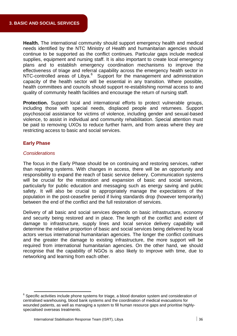Health. The international community should support emergency health and medical needs identified by the NTC Ministry of Health and humanitarian agencies should continue to be supported as the conflict continues. Particular gaps include medical supplies, equipment and nursing staff. It is also important to create local emergency plans and to establish emergency coordination mechanisms to improve the effectiveness of triage and referral capability across the emergency health sector in NTC-controlled areas of Libya.<sup>[6](#page-35-0)</sup> Support for the management and administration capacity of the health sector will be essential in any transition. Where possible, quality of community health facilities and encourage the return of nursing staff. health committees and councils should support re-establishing normal access to and

Protection. Support local and international efforts to protect vulnerable groups, including those with special needs, displaced people and returnees. Support psychosocial assistance for victims of violence, including gender and sexual-based violence, to assist in individual and community rehabilitation. Special attention must be paid to removing UXOs to reduce further harm, and from areas where they are restricting access to basic and social services.

#### **Early Phase**

#### *Considerations*

The focus in the Early Phase should be on continuing and restoring services, rather than repairing systems. With changes in access, there will be an opportunity and responsibility to expand the reach of basic service delivery. Communication systems will be crucial for the restoration and expansion of basic and social services, particularly for public education and messaging such as energy saving and public safety. It will also be crucial to appropriately manage the expectations of the population in the post-ceasefire period if living standards drop (however temporarily) between the end of the conflict and the full restoration of services.

Delivery of all basic and social services depends on basic infrastructure, economy and security being restored and in place. The length of the conflict and extent of damage to infrastructure, supply lines and local service delivery capability will determine the relative proportion of basic and social services being delivered by local actors versus international humanitarian agencies. The longer the conflict continues and the greater the damage to existing infrastructure, the more support will be required from international humanitarian agencies. On the other hand, we should recognise that the capability of NGOs is also likely to improve with time, due to networking and learning from each other.

<u> Andrew Maria (1989)</u>

<span id="page-35-0"></span> $6$  Specific activities include phone systems for triage, a blood donation system and consideration of centralised warehousing, blood bank systems and the coordination of medical evacuations for wounded patients, as well as managing a system to fill human resource gaps and prioritise highlyspecialised overseas treatments.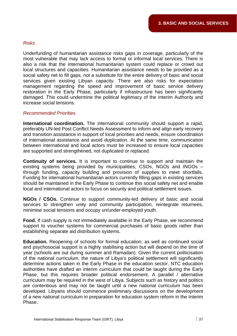#### *Risks*

Underfunding of humanitarian assistance risks gaps in coverage, particularly of the most vulnerable that may lack access to formal or informal local services. There is also a risk that the international humanitarian system could replace or crowd out local structures and capacities. Humanitarian assistance needs to be provided as a social safety net to fill gaps, not a substitute for the entire delivery of basic and social services given existing Libyan capacity. There are also risks for expectation management regarding the speed and improvement of basic service delivery restoration in the Early Phase, particularly if infrastructure has been significantly damaged. This could undermine the political legitimacy of the Interim Authority and increase social tensions.

#### *Recommended Priorities*

International coordination. The international community should support a rapid, preferably UN-led Post Conflict Needs Assessment to inform and align early recovery and transition assistance in support of local priorities and needs, ensure coordination of international assistance and avoid duplication. At the same time, communication between international and local actors must be increased to ensure local capacities are supported and strengthened, not duplicated or replaced.

**Continuity of services.** It is important to continue to support and maintain the existing systems being provided by municipalities, CSOs, NGOs and INGOs through funding, capacity building and provision of supplies to meet shortfalls. Funding for international humanitarian actors currently filling gaps in existing services should be maintained in the Early Phase to continue this social safety net and enable local and international actors to focus on security and political settlement issues.

NGOs / CSOs. Continue to support community-led delivery of basic and social services to strengthen unity and community participation, reintegrate returnees, minimise social tensions and occupy un/under-employed youth.

Food. If cash supply is not immediately available in the Early Phase, we recommend support to voucher systems for commercial purchases of basic goods rather than establishing separate aid distribution systems.

Education. Reopening of schools for formal education, as well as continued social and psychosocial support is a highly stabilising action but will depend on the time of year (schools are out during summer and Ramadan). Given the current politicisation of the national curriculum, the nature of Libya's political settlement will significantly determine actions taken in the Early Phase in the education sector. NTC education authorities have drafted an interim curriculum that could be taught during the Early Phase, but this requires broader political endorsement. A parallel / alternative curriculum may be required in the west of Libya. Subjects such as history and politics are contentious and may not be taught until a new national curriculum has been developed. Libyans should commence preliminary discussions on the development of a new national curriculum in preparation for education system reform in the Interim Phase.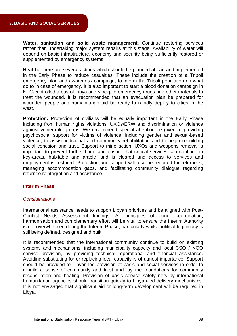Water, sanitation and solid waste management. Continue restoring services rather than undertaking major system repairs at this stage. Availability of water will depend on basic infrastructure, economy and security being sufficiently restored or supplemented by emergency systems.

Health. There are several actions which should be planned ahead and implemented in the Early Phase to reduce casualties. These include the creation of a Tripoli emergency plan and awareness campaign, to inform the Tripoli population on what do to in case of emergency. It is also important to start a blood donation campaign in NTC-controlled areas of Libya and stockpile emergency drugs and other materials to treat the wounded. It is recommended that an evacuation plan be prepared for wounded people and humanitarian aid be ready to rapidly deploy to cities in the west.

Protection. Protection of civilians will be equally important in the Early Phase including from human rights violations, UXOs/ERW and discrimination or violence against vulnerable groups. We recommend special attention be given to providing psychosocial support for victims of violence, including gender and sexual-based violence, to assist individual and community rehabilitation and to begin rebuilding social cohesion and trust. Support to mine action, UXOs and weapons removal is important to prevent further harm and ensure that critical services can continue in key-areas, habitable and arable land is cleared and access to services and employment is restored. Protection and support will also be required for returnees, managing accommodation gaps, and facilitating community dialogue regarding returnee reintegration and assistance

#### **Interim Phase**

#### *Considerations*

International assistance needs to support Libyan priorities and be aligned with Post-Conflict Needs Assessment findings. All principles of donor coordination, harmonisation and complementary effort will be vital to ensure the Interim Authority is not overwhelmed during the Interim Phase, particularly whilst political legitimacy is still being defined, designed and built.

It is recommended that the international community continue to build on existing systems and mechanisms, including municipality capacity and local CSO / NGO service provision, by providing technical, operational and financial assistance. Avoiding substituting for or replacing local capacity is of utmost importance. Support should be provided to Libyan-led provision of basic and social services in order to rebuild a sense of community and trust and lay the foundations for community reconciliation and healing. Provision of basic service safety nets by international humanitarian agencies should transition quickly to Libyan-led delivery mechanisms. It is not envisaged that significant aid or long-term development will be required in Libya.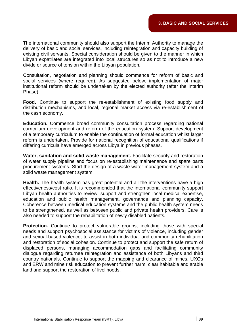The international community should also support the Interim Authority to manage the delivery of basic and social services, including reintegration and capacity building of existing civil servants. Special consideration should be given to the manner in which Libyan expatriates are integrated into local structures so as not to introduce a new divide or source of tension within the Libyan population.

Consultation, negotiation and planning should commence for reform of basic and social services (where required). As suggested below, implementation of major institutional reform should be undertaken by the elected authority (after the Interim Phase).

Food. Continue to support the re-establishment of existing food supply and distribution mechanisms, and local, regional market access via re-establishment of the cash economy.

**Education.** Commence broad community consultation process regarding national curriculum development and reform of the education system. Support development of a temporary curriculum to enable the continuation of formal education whilst larger reform is undertaken. Provide for national recognition of educational qualifications if differing curricula have emerged across Libya in previous phases.

**Water, sanitation and solid waste management.** Facilitate security and restoration of water supply pipeline and focus on re-establishing maintenance and spare parts procurement systems. Start the design of a waste water management system and a solid waste management system.

Health. The health system has great potential and all the interventions have a high effectiveness/cost ratio. It is recommended that the international community support Libyan health authorities to review, support and strengthen local medical expertise, education and public health management, governance and planning capacity. Coherence between medical education systems and the public health system needs to be strengthened, as well as between public and private health providers. Care is also needed to support the rehabilitation of newly disabled patients.

Protection. Continue to protect vulnerable groups, including those with special needs and support psychosocial assistance for victims of violence, including gender and sexual-based violence, to assist in both individual and community rehabilitation and restoration of social cohesion. Continue to protect and support the safe return of displaced persons, managing accommodation gaps and facilitating community dialogue regarding returnee reintegration and assistance of both Libyans and third country nationals. Continue to support the mapping and clearance of mines, UXOs and ERW and mine risk education to prevent further harm, clear habitable and arable land and support the restoration of livelihoods.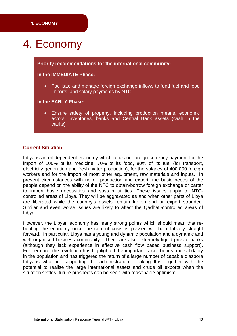## 4. Economy

#### **Priority recommendations for the international community:**

#### **In the IMMEDIATE Phase:**

• Facilitate and manage foreign exchange inflows to fund fuel and food imports, and salary payments by NTC

#### **In the EARLY Phase:**

Ensure safety of property, including production means, economic actors' inventories, banks and Central Bank assets (cash in the vaults)  $\bullet$ 

#### **Current Situation**

Libya is an oil dependent economy which relies on foreign currency payment for the import of 100% of its medicine, 70% of its food, 80% of its fuel (for transport, electricity generation and fresh water production), for the salaries of 400,000 foreign workers and for the import of most other equipment, raw materials and inputs. In present circumstances with no oil production and export, the basic needs of the people depend on the ability of the NTC to obtain/borrow foreign exchange or barter to import basic necessities and sustain utilities. These issues apply to NTCcontrolled areas of Libya. They will be aggravated as and when other parts of Libya are liberated while the country's assets remain frozen and oil export stranded. Similar and even worse issues are likely to affect the Qadhafi-controlled areas of Libya.

However, the Libyan economy has many strong points which should mean that rebooting the economy once the current crisis is passed will be relatively straight forward. In particular, Libya has a young and dynamic population and a dynamic and well organised business community. There are also extremely liquid private banks (although they lack experience in effective cash flow based business support). Furthermore, the revolution has highlighted the important social bonds and solidarity in the population and has triggered the return of a large number of capable diaspora Libyans who are supporting the administration. Taking this together with the potential to realise the large international assets and crude oil exports when the situation settles, future prospects can be seen with reasonable optimism.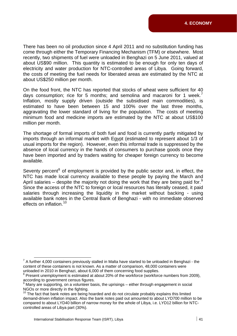There has been no oil production since 4 April 2011 and no substitution funding has come through either the Temporary Financing Mechanism (TFM) or elsewhere. Most recently, two shipments of fuel were unloaded in Benghazi on 5 June 2011, valued at about US\$90 million. This quantity is estimated to be enough for only ten days of the costs of meeting the fuel needs for liberated areas are estimated by the NTC at electricity and water production for NTC-controlled areas of Libya. Going forward, about US\$250 million per month.

On the food front, the NTC has reported that stocks of wheat were sufficient for 40 days consumption; rice for 5 months; and semolina and macaroni for 1 week.<sup>7</sup> Inflation, mostly supply driven (outside the subsidised main commodities), is aggravating the lower standard of living for the population. The costs of meeting minimum food and medicine imports are estimated by the NTC at about US\$100 estimated to have been between 15 and 100% over the last three months, million per month.

The shortage of formal imports of both fuel and food is currently partly mitigated by imports through an informal market with Egypt (estimated to represent about 1/3 of usual imports for the region). However, even this informal trade is suppressed by the absence of local currency in the hands of consumers to purchase goods once they have been imported and by traders waiting for cheaper foreign currency to become available.

Seventy percent<sup>[8](#page-40-0)</sup> of employment is provided by the public sector and, in effect, the NTC has made local currency available to these people by paying the March and April salaries – despite the majority not doing the work that they are being paid for.<sup>9</sup> Since the access of the NTC to foreign or local resources has literally ceased, it paid salaries through increasing the liquidity in the market without backing - using available bank notes in the Central Bank of Benghazi - with no immediate observed effects on inflation.<sup>10</sup>

<sup>&</sup>lt;sup>7</sup> A further 4,000 containers previously stalled in Malta have started to be unloaded in Benghazi - the content of these containers is not known. As a matter of comparison, 48,000 containers were unloaded in 2010 in Benghazi, about 6,000 of them concerning food supplies.

<span id="page-40-0"></span><sup>&</sup>lt;sup>8</sup> Present unemployment is estimated at about 20% of the workforce (workforce numbers from 2009), according to government census figures.<br><sup>9</sup> Many are supporting on a volunteer box

Many are supporting, on a volunteer basis, the uprisings – either through engagement in social NGOs or more directly in the fighting.

 $10$  The fact that bank notes are being hoarded and do not circulate probably explains this limited demand-driven inflation impact. Also the bank notes paid out amounted to about LYD700 million to be compared to about LYD40 billion of narrow money for the whole of Libya, i.e. LYD12 billion for NTCcontrolled areas of Libya part (30%).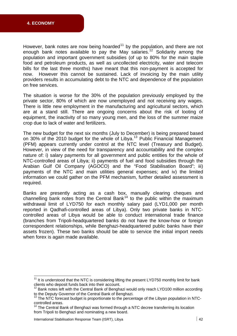However, bank notes are now being hoarded<sup>[11](#page-41-0)</sup> by the population, and there are not enough bank notes available to pay the May salaries.<sup>[12](#page-41-1)</sup> Solidarity among the population and important government subsidies (of up to 80% for the main staple food and petroleum products, as well as uncollected electricity, water and telecom bills for the last three months) have meant that this non-payment is accepted for now. However this cannot be sustained. Lack of invoicing by the main utility providers results in accumulating debt to the NTC and dependence of the population on free services.

The situation is worse for the 30% of the population previously employed by the private sector, 80% of which are now unemployed and not receiving any wages. are at a stand still. There are ongoing concerns about the risk of looting of equipment, the inactivity of so many young men, and the loss of the summer maize There is little new employment in the manufacturing and agricultural sectors, which crop due to lack of water and fertilizers.

The new budget for the next six months (July to December) is being prepared based on 30% of the 2010 budget for the whole of Libya.<sup>[13](#page-41-2)</sup> Public Financial Management (PFM) appears currently under control at the NTC level (Treasury and Budget). However, in view of the need for transparency and accountability and the complex nature of: i) salary payments for all government and public entities for the whole of NTC-controlled areas of Libya; ii) payments of fuel and food subsidies through the Arabian Gulf Oil Company (AGOCO) and the "Food Stabilisation Board"; iii) payments of the NTC and main utilities general expenses; and iv) the limited information we could gather on the PFM mechanism, further detailed assessment is required.

Banks are presently acting as a cash box, manually clearing cheques and channelling bank notes from the Central Bank<sup>[14](#page-41-3)</sup> to the public within the maximum withdrawal limit of LYD750 for each monthly salary paid (LYD1,000 per month reported in Qadhafi-controlled areas of Libya). Only two private banks in NTCcontrolled areas of Libya would be able to conduct international trade finance (branches from Tripoli-headquartered banks do not have the know-how or foreign correspondent relationships, while Benghazi-headquartered public banks have their assets frozen). These two banks should be able to service the initial import needs when forex is again made available.

<u> Andrew Maria (1989)</u><br>1900 - Carl Carl Maria (b. 1900)

<span id="page-41-0"></span> $11$  It is understood that the NTC is considering lifting the present LYD750 monthly limit for bank clients who deposit funds back into their account.

<span id="page-41-1"></span> $12$  Bank notes left with the Central Bank of Benghazi would only reach LYD100 million according to the Deputy Governor of the Central Bank of Benghazi.<br><sup>13</sup> The NTC for a still that the Central Bank of Benghazi.

<span id="page-41-2"></span><sup>13</sup> The NTC forecast budget is proportionate to the percentage of the Libyan population in NTCcontrolled areas.

<span id="page-41-3"></span> $14$  The Central Bank of Benghazi was formed through a NTC decree transferring its location from Tripoli to Benghazi and nominating a new board.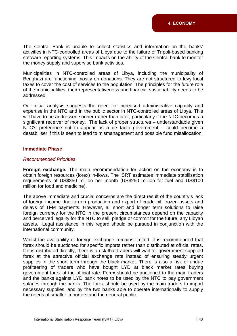The Central Bank is unable to collect statistics and information on the banks' software reporting systems. This impacts on the ability of the Central bank to monitor activities in NTC-controlled areas of Libya due to the failure of Tripoli-based banking the money supply and supervise bank activities.

Municipalities in NTC-controlled areas of Libya, including the municipality of Benghazi are functioning mostly on donations. They are not structured to levy local taxes to cover the cost of services to the population. The principles for the future role of the municipalities, their representativeness and financial sustainability needs to be addressed.

Our initial analysis suggests the need for increased administrative capacity and expertise in the NTC and in the public sector in NTC-controlled areas of Libya. This will have to be addressed sooner rather than later, particularly if the NTC becomes a significant receiver of money. The lack of proper structures - understandable given NTC's preference not to appear as a de facto government – could become a destabiliser if this is seen to lead to mismanagement and possible fund misallocation.

#### **Immediate Phase**

#### *Recommended Priorities*

obtain foreign resources (forex) in-flows. The ISRT estimates immediate stabilisation requirements of US\$350 million per month (US\$250 million for fuel and US\$100 **Foreign exchange.** The main recommendation for action on the economy is to million for food and medicine).

The above immediate and crucial concerns are the direct result of the country's lack of foreign income due to non production and export of crude oil, frozen assets and foreign currency for the NTC in the present circumstances depend on the capacity and perceived legality for the NTC to sell, pledge or commit for the future, any Libyan assets. Legal assistance in this regard should be pursued in conjunction with the delays of TFM payments. However, all short and longer term solutions to raise international community.

Whilst the availability of foreign exchange remains limited, it is recommended that forex should be auctioned for specific imports rather than distributed at official rates. If it is distributed directly, there is a risk that traders will wait for government supplied forex at the attractive official exchange rate instead of ensuring steady urgent supplies in the short term through the black market. There is also a risk of undue profiteering of traders who have bought LYD at black market rates buying government forex at the official rate. Forex should be auctioned to the main traders and the banks against LYD bank notes to be used by the NTC to pay government salaries through the banks. The forex should be used by the main traders to import necessary supplies, and by the two banks able to operate internationally to supply the needs of smaller importers and the general public.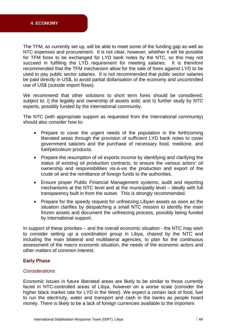The TFM, as currently set up, will be able to meet some of the funding gap as well as NTC expenses and procurement. It is not clear, however, whether it will be possible for TFM forex to be exchanged for LYD bank notes by the NTC, so this may not It is therefore recommended that the TFM mechanism allow for the sale of forex against LYD to be used to pay public sector salaries. It is not recommended that public sector salaries be paid directly in US\$, to avoid partial dollarisation of the economy and uncontrolled succeed in fulfilling the LYD requirement for meeting salaries. use of US\$ (outside import flows).

We recommend that other solutions to short term forex should be considered, subject to: i) the legality and ownership of assets sold; and ii) further study by NTC experts, possibly funded by the international community.

The NTC (with appropriate support as requested from the International community) should also consider how to:

- Prepare to cover the urgent needs of the population in the forthcoming liberated areas through the provision of sufficient LYD bank notes to cover government salaries and the purchase of necessary food, medicine, and fuel/petroleum products.
- Prepare the resumption of oil exports income by identifying and clarifying the ownership and responsibilities vis-à-vis the production and export of the status of existing oil production contracts, to ensure the various actors' oil crude oil and the remittance of foreign funds to the authorities.
- Ensure proper Public Financial Management systems, audit and reporting mechanisms at the NTC level and at the municipality level – ideally with full transparency built in from the outset. This is strongly recommended.
- Prepare for the speedy request for unfreezing Libyan assets as soon as the situation clarifies by despatching a small NTC mission to identify the main frozen assets and document the unfreezing process, possibly being funded by international support.

In support of these priorities  $-$  and the overall economic situation - the NTC may wish to consider setting up a coordination group in Libya, chaired by the NTC and including the main bilateral and multilateral agencies, to plan for the continuous assessment of the macro economic situation, the needs of the economic actors and other matters of common interest.

#### **Early Phase**

#### *Considerations*

Economic issues in future liberated areas are likely to be similar to those currently faced in NTC-controlled areas of Libya, however on a worse scale (consider the higher black market rate for LYD in the West). We expect a certain lack of food, fuel to run the electricity, water and transport and cash in the banks as people hoard money. There is likely to be a lack of foreign currencies available to the importers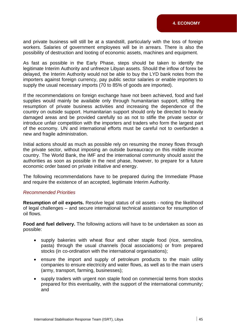and private business will still be at a standstill, particularly with the loss of foreign workers. Salaries of government employees will be in arrears. There is also the possibility of destruction and looting of economic assets, machines and equipment.

As fast as possible in the Early Phase, steps should be taken to identify the legitimate Interim Authority and unfreeze Libyan assets. Should the inflow of forex be delayed, the Interim Authority would not be able to buy the LYD bank notes from the importers against foreign currency, pay public sector salaries or enable importers to supply the usual necessary imports (70 to 85% of goods are imported).

If the recommendations on foreign exchange have not been achieved, food and fuel supplies would mainly be available only through humanitarian support, stifling the resumption of private business activities and increasing the dependence of the country on outside support. Humanitarian support should only be directed to heavily damaged areas and be provided carefully so as not to stifle the private sector or introduce unfair competition with the importers and traders who form the largest part of the economy. UN and international efforts must be careful not to overburden a new and fragile administration.

Initial actions should as much as possible rely on resuming the money flows through the private sector, without imposing an outside bureaucracy on this middle income country. The World Bank, the IMF and the international community should assist the authorities as soon as possible in the next phase, however, to prepare for a future economic order based on private initiative and energy.

The following recommendations have to be prepared during the Immediate Phase and require the existence of an accepted, legitimate Interim Authority.

#### *Recommended Priorities*

Resumption of oil exports. Resolve legal status of oil assets - noting the likelihood of legal challenges – and secure international technical assistance for resumption of oil flows.

**Food and fuel delivery.** The following actions will have to be undertaken as soon as possible:

- supply bakeries with wheat flour and other staple food (rice, semolina, pasta) through the usual channels (local associations) or from prepared stocks (in co-ordination with the international organisations);
- ensure the import and supply of petroleum products to the main utility companies to ensure electricity and water flows, as well as to the main users (army, transport, farming, businesses);
- supply traders with urgent non staple food on commercial terms from stocks prepared for this eventuality, with the support of the international community; and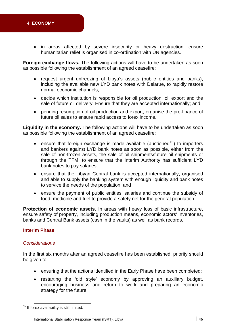#### **4. ECONOMY**

• in areas affected by severe insecurity or heavy destruction, ensure humanitarian relief is organised in co-ordination with UN agencies.

Foreign exchange flows. The following actions will have to be undertaken as soon as possible following the establishment of an agreed ceasefire:

- request urgent unfreezing of Libya's assets (public entities and banks), including the available new LYD bank notes with Delarue, to rapidly restore normal economic channels;
- decide which institution is responsible for oil production, oil export and the sale of future oil delivery. Ensure that they are accepted internationally; and
- pending resumption of oil production and export, organise the pre-finance of future oil sales to ensure rapid access to forex income.

Liquidity in the economy. The following actions will have to be undertaken as soon as possible following the establishment of an agreed ceasefire:

- ensure that foreign exchange is made available (auctioned<sup>[15](#page-45-0)</sup>) to importers and bankers against LYD bank notes as soon as possible, either from the sale of non-frozen assets, the sale of oil shipments/future oil shipments or through the TFM, to ensure that the Interim Authority has sufficient LYD bank notes to pay salaries;
- ensure that the Libyan Central bank is accepted internationally, organised and able to supply the banking system with enough liquidity and bank notes to service the needs of the population; and
- ensure the payment of public entities' salaries and continue the subsidy of food, medicine and fuel to provide a safety net for the general population.

**Protection of economic assets.** In areas with heavy loss of basic infrastructure, ensure safety of property, including production means, economic actors' inventories, banks and Central Bank assets (cash in the vaults) as well as bank records.

#### **Interim Phase**

#### *Considerations*

be given to: In the first six months after an agreed ceasefire has been established, priority should

- ensuring that the actions identified in the Early Phase have been completed;
- restarting the 'old style' economy by approving an auxiliary budget, encouraging business and return to work and preparing an economic strategy for the future;

<u> Andrew Maria (1989)</u>

<span id="page-45-0"></span> $15$  If forex availability is still limited.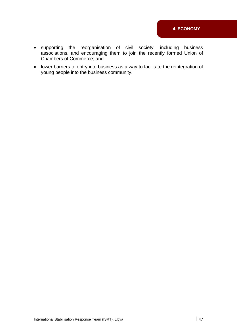- business raging them to join the recently formed Union of supporting the reorganisation of civil society, including associations, and encou Chambers of Commerce; and
- lower barriers to entry into business as a way to facilitate the reintegration of young people into the business community.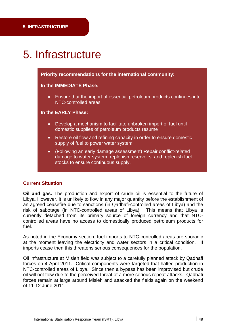## 5. Infrastructure

#### **Priority recommendations for the international community:**

#### **In the IMMEDIATE Phase:**

• Ensure that the import of essential petroleum products continues into NTC-controlled areas

#### **In the EARLY Phase:**

- Develop a mechanism to facilitate unbroken import of fuel until domestic supplies of petroleum products resume
- Restore oil flow and refining capacity in order to ensure domestic supply of fuel to power water system
- (Following an early damage assessment) Repair conflict-related damage to water system, replenish reservoirs, and replenish fuel stocks to ensure continuous supply.

#### **Current Situation**

Oil and gas. The production and export of crude oil is essential to the future of Libya. However, it is unlikely to flow in any major quantity before the establishment of an agreed ceasefire due to sanctions (in Qadhafi-controlled areas of Libya) and the risk of sabotage (in NTC-controlled areas of Libya). This means that Libya is currently detached from its primary source of foreign currency and that NTCcontrolled areas have no access to domestically produced petroleum products for fuel.

As noted in the Economy section, fuel imports to NTC-controlled areas are sporadic at the moment leaving the electricity and water sectors in a critical condition. If imports cease then this threatens serious consequences for the population.

Oil infrastructure at Misleh field was subject to a carefully planned attack by Qadhafi forces on 4 April 2011. Critical components were targeted that halted production in NTC-controlled areas of Libya. Since then a bypass has been improvised but crude oil will not flow due to the perceived threat of a more serious repeat attacks. Qadhafi forces remain at large around Misleh and attacked the fields again on the weekend of 11-12 June 2011.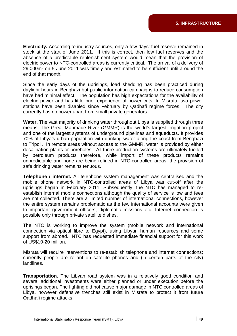**Electricity.** According to industry sources, only a few days' fuel reserve remained in stock at the start of June 2011. If this is correct, then low fuel reserves and the absence of a predictable replenishment system would mean that the provision of electric power to NTC-controlled areas is currently critical. The arrival of a delivery of 29,000m<sup>3</sup> on 5 June 2011 was timely and estimated to be sufficient until around the end of that month.

Since the early days of the uprisings, load shedding has been practiced during daylight hours in Benghazi but public information campaigns to reduce consumption have had minimal effect. The population has high expectations for the availability of electric power and has little prior experience of power cuts. In Misrata, two power stations have been disabled since February by Qadhafi regime forces. The city currently has no power apart from small private generators.

Water. The vast majority of drinking water throughout Libya is supplied through three means. The Great Manmade River (GMMR) is the world's largest irrigation project and one of the largest systems of underground pipelines and aqueducts. It provides 70% of Libya's urban population with drinking water along the coast from Benghazi to Tripoli. In remote areas without access to the GMMR, water is provided by either desalination plants or boreholes. All three production systems are ultimately fuelled by petroleum products therefore, while import of these products remains unpredictable and none are being refined in NTC-controlled areas, the provision of safe drinking water remains tenuous.

**Telephone / internet.** All telephone system management was centralised and the mobile phone network in NTC-controlled areas of Libya was cut-off after the establish internal mobile connections although the quality of service is low and fees are not collected. There are a limited number of international connections, however the entire system remains problematic as the few international accounts were given to important government officers, diplomatic missions etc. Internet connection is possible only through private satellite dishes. uprisings began in February 2011. Subsequently, the NTC has managed to re-

The NTC is working to improve the system (mobile network and international connection via optical fibre to Egypt), using Libyan human resources and some support from abroad. NTC has requested immediate financial support for this work of US\$10-20 million.

Misrata will require interventions to re-establish telephone and internet connections; currently people are reliant on satellite phones and (in certain parts of the city) landlines.

**Transportation.** The Libyan road system was in a relatively good condition and several additional investments were either planned or under execution before the uprisings began. The fighting did not cause major damage in NTC controlled areas of Libya, however defensive trenches still exist in Misrata to protect it from future Qadhafi regime attacks.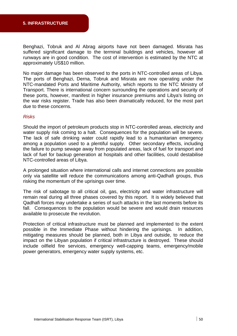Benghazi, Tobruk and Al Abrag airports have not been damaged. Misrata has suffered significant damage to the terminal buildings and vehicles, however all runways are in good condition. The cost of intervention is estimated by the NTC at approximately US\$10 million.

No major damage has been observed to the ports in NTC-controlled areas of Libya. The ports of Benghazi, Derna, Tobruk and Misrata are now operating under the NTC-mandated Ports and Maritime Authority, which reports to the NTC Ministry of Transport. There is international concern surrounding the operations and security of these ports, however, manifest in higher insurance premiums and Libya's listing on the war risks register. Trade has also been dramatically reduced, for the most part due to these concerns.

#### *Risks*

Should the import of petroleum products stop in NTC-controlled areas, electricity and water supply risk coming to a halt. Consequences for the population will be severe. The lack of safe drinking water could rapidly lead to a humanitarian emergency among a population used to a plentiful supply. Other secondary effects, including the failure to pump sewage away from populated areas, lack of fuel for transport and lack of fuel for backup generation at hospitals and other facilities, could destabilise NTC-controlled areas of Libya.

A prolonged situation where international calls and internet connections are possible only via satellite will reduce the communications among anti-Qadhafi groups, thus risking the momentum of the uprisings over time.

The risk of sabotage to all critical oil, gas, electricity and water infrastructure will remain real during all three phases covered by this report. It is widely believed that Qadhafi forces may undertake a series of such attacks in the last moments before its fall. Consequences to the population would be severe and would drain resources available to prosecute the revolution.

Protection of critical infrastructure must be planned and implemented to the extent possible in the Immediate Phase without hindering the uprisings. In addition, mitigating measures should be planned, both in Libya and outside, to reduce the impact on the Libyan population if critical infrastructure is destroyed. These should include oilfield fire services, emergency well-capping teams, emergency/mobile power generators, emergency water supply systems, etc.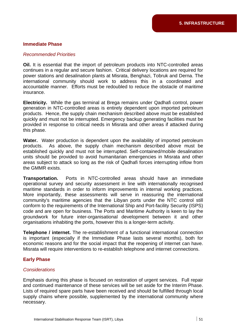#### **Immediate Phase**

#### *Recommended Priorities*

Oil. It is essential that the import of petroleum products into NTC-controlled areas continues in a regular and secure fashion. Critical delivery locations are required for power stations and desalination plants at Misrata, Benghazi, Tobruk and Derna. The international community should work to address this in a coordinated and accountable manner. Efforts must be redoubled to reduce the obstacle of maritime insurance.

**Electricity.** While the gas terminal at Brega remains under Qadhafi control, power generation in NTC-controlled areas is entirely dependent upon imported petroleum products. Hence, the supply chain mechanism described above must be established quickly and must not be interrupted. Emergency backup generating facilities must be provided in response to critical needs in Misrata and other areas if attacked during this phase.

Water. Water production is dependent upon the availability of imported petroleum products. As above, the supply chain mechanism described above must be established quickly and must not be interrupted. Self-contained/mobile desalination units should be provided to avoid humanitarian emergencies in Misrata and other areas subject to attack so long as the risk of Qadhafi forces interrupting inflow from the GMMR exists.

**Transportation.** Ports in NTC-controlled areas should have an immediate operational survey and security assessment in line with internationally recognised maritime standards in order to inform improvements in internal working practices. More importantly, these assessments will serve in reassuring the international community's maritime agencies that the Libyan ports under the NTC control still conform to the requirements of the International Ship and Port-facility Security (ISPS) code and are open for business. The Ports and Maritime Authority is keen to lay the groundwork for future inter-organisational development between it and other organisations inhabiting the ports, however this is a longer-term activity.

**Telephone / internet.** The re-establishment of a functional international connection is important (especially if the Immediate Phase lasts several months), both for economic reasons and for the social impact that the reopening of internet can have. Misrata will require interventions to re-establish telephone and internet connections.

#### **Early Phase**

#### *Considerations*

Emphasis during this phase is focused on restoration of urgent services. Full repair and continued maintenance of these services will be set aside for the Interim Phase. Lists of required spare parts have been received and should be fulfilled through local supply chains where possible, supplemented by the international community where necessary.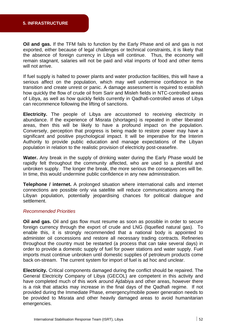Oil and gas. If the TFM fails to function by the Early Phase and oil and gas is not exported, either because of legal challenges or technical constraints, it is likely that the absence of foreign currency in Libya will continue. Thus, the economy will remain stagnant, salaries will not be paid and vital imports of food and other items will not arrive.

If fuel supply is halted to power plants and water production facilities, this will have a serious affect on the population, which may well undermine confidence in the transition and create unrest or panic. A damage assessment is required to establish how quickly the flow of crude oil from Sarir and Misleh fields in NTC-controlled areas of Libya, as well as how quickly fields currently in Qadhafi-controlled areas of Libya can recommence following the lifting of sanctions.

**Electricity.** The people of Libya are accustomed to receiving electricity in abundance. If the experience of Misrata (shortages) is repeated in other liberated areas, then this will be likely to have a profound impact on the population. Conversely, perception that progress is being made to restore power may have a significant and positive psychological impact. It will be imperative for the Interim Authority to provide public education and manage expectations of the Libyan population in relation to the realistic provision of electricity post-ceasefire.

**Water.** Any break in the supply of drinking water during the Early Phase would be rapidly felt throughout the community affected, who are used to a plentiful and unbroken supply. The longer the break, the more serious the consequences will be. In time, this would undermine public confidence in any new administration.

**Telephone / internet.** A prolonged situation where international calls and internet connections are possible only via satellite will reduce communications among the Libyan population, potentially jeopardising chances for political dialogue and settlement.

#### *Recommended Priorities*

Oil and gas. Oil and gas flow must resume as soon as possible in order to secure enable this, it is strongly recommended that a national body is appointed to administer oil concessions and restore all necessary trading contracts. Refineries throughout the country must be restarted (a process that can take several days) in order to provide a domestic supply of fuel for power stations and water supply. Fuel imports must continue unbroken until domestic supplies of petroleum products come back on-stream. The current system for import of fuel is ad hoc and unclear. foreign currency through the export of crude and LNG (liquefied natural gas). To

**Electricity.** Critical components damaged during the conflict should be repaired. The General Electricity Company of Libya (GECOL) are competent in this activity and have completed much of this work around Ajdabiya and other areas, however there is a risk that attacks may increase in the final days of the Qadhafi regime. If not provided during the Immediate Phase, emergency/mobile power generation needs to be provided to Misrata and other heavily damaged areas to avoid humanitarian emergencies.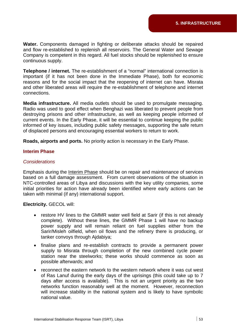Water. Components damaged in fighting or deliberate attacks should be repaired and flow re-established to replenish all reservoirs. The General Water and Sewage Company is competent in this regard. All fuel stocks should be replenished to ensure continuous supply.

**Telephone / internet.** The re-establishment of a "normal" international connection is important (if it has not been done in the Immediate Phase), both for economic reasons and for the social impact that the reopening of internet can have. Misrata and other liberated areas will require the re-establishment of telephone and internet connections.

Media infrastructure. All media outlets should be used to promulgate messaging. Radio was used to good effect when Benghazi was liberated to prevent people from destroying prisons and other infrastructure, as well as keeping people informed of current events. In the Early Phase, it will be essential to continue keeping the public informed of key issues, including public safety messages, supporting the safe return of displaced persons and encouraging essential workers to return to work.

Roads, airports and ports. No priority action is necessary in the Early Phase.

#### **Interim Phase**

#### *Considerations*

Emphasis during the Interim Phase should be on repair and maintenance of services based on a full damage assessment. From current observations of the situation in NTC-controlled areas of Libya and discussions with the key utility companies, some initial priorities for action have already been identified where early actions can be taken with minimal (if any) international support.

**Electricity.** GECOL will:

- restore HV lines to the GMMR water well field at Sarir (if this is not already complete). Without these lines, the GMMR Phase 1 will have no backup Sarir/Misleh oilfield, when oil flows and the refinery there is producing, or power supply and will remain reliant on fuel supplies either from the tanker convoys through Ajdabiya;
- finalise plans and re-establish contracts to provide a permanent power supply to Misrata through completion of the new combined cycle power station near the steelworks; these works should commence as soon as possible afterwards; and
- reconnect the eastern network to the western network where it was cut west of Ras Lanuf during the early days of the uprisings (this could take up to 7 days after access is available). This is not an urgent priority as the two networks function reasonably well at the moment. However, reconnection will increase stability in the national system and is likely to have symbolic national value.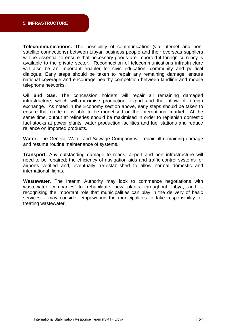**Telecommunications.** The possibility of communication (via internet and nonsatellite connections) between Libyan business people and their overseas suppliers will be essential to ensure that necessary goods are imported if foreign currency is available to the private sector. Reconnection of telecommunications infrastructure will also be an important enabler for civic education, community and political dialogue. Early steps should be taken to repair any remaining damage, ensure national coverage and encourage healthy competition between landline and mobile telephone networks.

Oil and Gas. The concession holders will repair all remaining damaged infrastructure, which will maximise production, export and the inflow of foreign exchange. As noted in the Economy section above, early steps should be taken to same time, output at refineries should be maximised in order to replenish domestic fuel stocks at power plants, water production facilities and fuel stations and reduce ensure that crude oil is able to be monetised on the international market. At the reliance on imported products.

Water. The General Water and Sewage Company will repair all remaining damage and resume routine maintenance of systems.

**Transport.** Any outstanding damage to roads, airport and port infrastructure will need to be repaired; the efficiency of navigation aids and traffic control systems for airports verified and, eventually, re-established to allow normal domestic and international flights.

Wastewater. The Interim Authority may look to commence negotiations with wastewater companies to rehabilitate new plants throughout Libya; and  $$ recognising the important role that municipalities can play in the delivery of basic services – may consider empowering the municipalities to take responsibility for treating wastewater.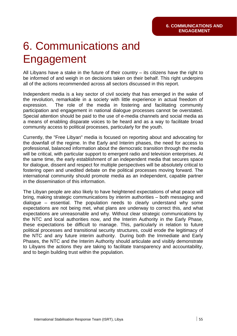## 6. Communications a nd Engagement

All Libyans have a stake in the future of their country  $-$  its citizens have the right to be informed of and weigh in on decisions taken on their behalf. This right underpins all of the actions recommended across all sectors discussed in this report.

Independent media is a key sector of civil society that has emerged in the wake of the revolution, remarkable in a society with little experience in actual freedom of expression. The role of the media in fostering and facilitating community Special attention should be paid to the use of e-media channels and social media as a means of enabling disparate voices to be heard and as a way to facilitate broad participation and engagement in national dialogue processes cannot be overstated. community access to political processes, particularly for the youth.

Currently, the "Free Libyan" media is focused on reporting about and advocating for the downfall of the regime. In the Early and Interim phases, the need for access to professional, balanced information about the democratic transition through the media will be critical, with particular support to emergent radio and television enterprises. At the same time, the early establishment of an independent media that secures space fostering open and unedited debate on the political processes moving forward. The international community should promote media as an independent, capable partner for dialogue, dissent and respect for multiple perspectives will be absolutely critical to in the dissemination of this information.

The Libyan people are also likely to have heightened expectations of what peace will bring, making strategic communications by interim authorities - both messaging and dialogue – essential. The population needs to clearly understand why some expectations are not being met, what plans are underway to correct this, and what expectations are unreasonable and why. Without clear strategic communications by the NTC and local authorities now, and the Interim Authority in the Early Phase, these expectations be difficult to manage. This, particularly in relation to future political processes and transitional security structures, could erode the legitimacy of the NTC and any future interim authority. During both the Immediate and Early Phases, the NTC and the Interim Authority should articulate and visibly demonstrate to Libyans the actions they are taking to facilitate transparency and accountability, and to begin building trust within the population.